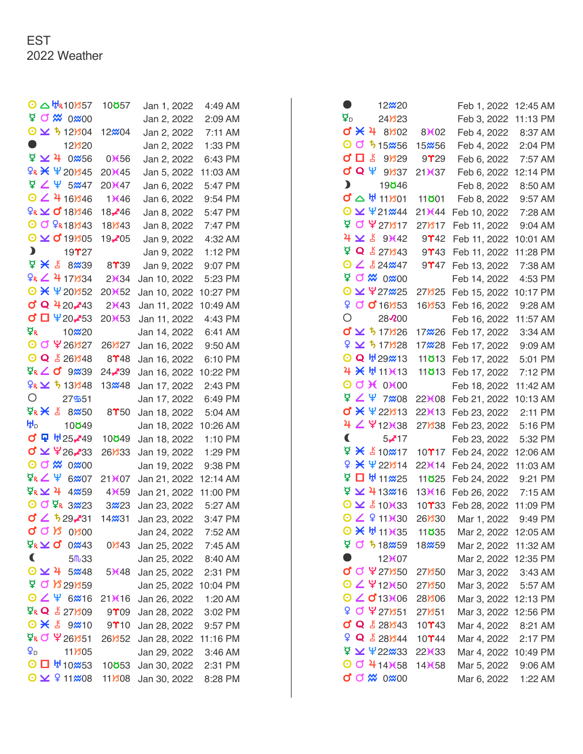|                           | $\odot$ $\triangle$ $\text{Hg10}$ $\text{Mg57}$     | 10 <b>8</b> 57                       | Jan 1, 2022                                  | 4:49 AM  |
|---------------------------|-----------------------------------------------------|--------------------------------------|----------------------------------------------|----------|
|                           | P O X 0x 00                                         |                                      | Jan 2, 2022                                  | 2:09 AM  |
|                           | $O \times 512804$                                   | 12%04                                | Jan 2, 2022                                  | 7:11 AM  |
| $\bullet$                 | $12$ <sup>3</sup> 20                                |                                      | Jan 2, 2022                                  | 1:33 PM  |
|                           | <b>ロン4 0</b> <i></i> 36                             | $0*56$                               | Jan 2, 2022                                  | 6:43 PM  |
|                           | $9R \times 4201345$                                 | 20)(45)                              | Jan 5, 2022                                  | 11:03 AM |
|                           | $924$ 5 $\omega$ 47                                 | 20 <del>11</del> 47                  | Jan 6, 2022                                  | 5:47 PM  |
|                           | $O$ $\angle$ 4 16 $/$ 346                           | 13646                                | Jan 6, 2022                                  | 9:54 PM  |
|                           | $R \times 0$ 18) 346                                | 18-746                               | Jan 8, 2022                                  | 5:47 PM  |
|                           | $O$ $O$ $R$ 18) $343$                               | 18 <b>B</b> 43                       | Jan 8, 2022                                  | 7:47 PM  |
|                           | $O \times O$ 19805                                  | 19 $205$                             | Jan 9, 2022                                  | 4:32 AM  |
|                           | $\sum_{i=1}^{n}$<br>$19$ <sup><math>27</math></sup> |                                      | Jan 9, 2022                                  | 1:12 PM  |
|                           | $4 \times 8$ 8 8 3 3 9                              | 8 <sup>1</sup> 39                    | Jan 9, 2022                                  | 9:07 PM  |
|                           | $9R \angle 4171334$                                 | 2)634                                | Jan 10, 2022                                 | 5:23 PM  |
|                           | $O X \Psi 20152$                                    | 20¥52                                | Jan 10, 2022                                 | 10:27 PM |
|                           | <b>d Q 420,43</b>                                   | 2)(43)                               | Jan 11, 2022                                 | 10:49 AM |
|                           | <b>♂□ ¥20,453</b>                                   | 20 <del>1</del> 53                   | Jan 11, 2022                                 | 4:43 PM  |
| Ω£                        | 10 <b>x</b> 20                                      |                                      | Jan 14, 2022                                 | 6:41 AM  |
|                           | O O Y 261327                                        | $26$ <i>S</i> $27$                   | Jan 16, 2022                                 | 9:50 AM  |
|                           | $O Q \nightharpoonup 26$ 348                        | $8$ <sup><math>48</math></sup>       | Jan 16, 2022                                 | 6:10 PM  |
|                           | $Q_R \angle$ o 9239                                 | 24 <b>-∕</b> 39                      | Jan 16, 2022                                 | 10:22 PM |
|                           | $9R \times 5131348$                                 | 13 <b>248</b>                        | Jan 17, 2022                                 | 2:43 PM  |
| О                         | 27551                                               |                                      | Jan 17, 2022                                 | 6:49 PM  |
|                           | $Q_R \times S$ 8 8 8 5 0                            | $8$ <sup><math>\gamma</math>50</sup> | Jan 18, 2022                                 | 5:04 AM  |
| ₩р                        | 10049                                               |                                      | Jan 18, 2022                                 | 10:26 AM |
|                           | ♂ 묘 ₩25-49                                          | 10 <b>8</b> 49                       | Jan 18, 2022                                 | 1:10 PM  |
|                           | <b>d ⊻ \26,233</b>                                  | 26 <b>B</b> 33                       | Jan 19, 2022                                 | 1:29 PM  |
|                           | O O X 0x 00                                         |                                      | Jan 19, 2022                                 | 9:38 PM  |
|                           | $\Phi_R \angle \Psi$ 6207                           | 21¥07                                | Jan 21, 2022                                 | 12:14 AM |
|                           | $\Phi$ <sub>R</sub> $\geq$ 4 4 4 $\omega$ 59        | $4\times 59$                         | Jan 21, 2022                                 | 11:00 PM |
|                           | O O PR 3723<br>$0'$ $\angle$ 529-31                 | 3 <b>2</b> 23                        | Jan 23, 2022                                 | 5:27 AM  |
|                           | σση                                                 | 14 <b>x</b> 31                       | Jan 23, 2022                                 | 3:47 PM  |
|                           | $0$ $800$<br>₫ <sup>g</sup> ΣQ                      |                                      | Jan 24, 2022 7:52 AM                         |          |
| $\blacktriangleleft$      | $0\text{m}43$<br>5m33                               | 0 <b>B</b> 43                        | Jan 25, 2022 7:45 AM                         |          |
|                           | $0 \times 4$<br>5 <sup>2</sup> 48                   | 5 <del>Ⅴ</del> 48                    | Jan 25, 2022 8:40 AM<br>Jan 25, 2022 2:31 PM |          |
|                           | 90829                                               |                                      | Jan 25, 2022 10:04 PM                        |          |
|                           | $O Z \Psi 6$ % 16                                   | $21*(16)$                            | Jan 26, 2022                                 | 1:20 AM  |
|                           | $Q_{R} Q \nightharpoonup 27$ 1309                   | $9^{\circ}$ 09                       | Jan 28, 2022 3:02 PM                         |          |
|                           | $\odot$ $\times$ $\substack{8}{5}$ 9 $\times$ 10    | $9$ <sup>10</sup>                    | Jan 28, 2022 9:57 PM                         |          |
|                           | ጀ <mark>ዬ Ở ¥</mark> 26851                          | 26Y52                                | Jan 28, 2022 11:16 PM                        |          |
| $\mathbf{Q}_{\mathsf{D}}$ | 11Y <sub>805</sub>                                  |                                      | Jan 29, 2022                                 | 3:46 AM  |
|                           | $O$ $\Box$ $H$ 10 $M$ 53                            | 10 <b>8</b> 53                       | Jan 30, 2022 2:31 PM                         |          |
|                           | $\odot$ $\times$ $\odot$ 11 $\text{\%}$ 08          | $11$ $808$                           | Jan 30, 2022                                 | 8:28 PM  |
|                           |                                                     |                                      |                                              |          |

| o                                    | 12 <sub>x</sub> 20                             |                                          | Feb 1, 2022          | 12:45 AM  |
|--------------------------------------|------------------------------------------------|------------------------------------------|----------------------|-----------|
| $\overline{\mathbf{Q}}_{\mathsf{D}}$ | $24$ <i><b>B</b></i> $23$                      |                                          | Feb 3, 2022          | 11:13 PM  |
|                                      | $d \times 48802$                               | 83602                                    | Feb 4, 2022          | 8:37 AM   |
|                                      | O O 5 15 256                                   | 15 <sub>x</sub> 56                       | Feb 4, 2022          | 2:04 PM   |
| σ□₹                                  | 9 <sub>329</sub>                               | 9 <b>1</b> 29                            | Feb 6, 2022          | 7:57 AM   |
|                                      | đQΨ<br>$9$ $37$                                | 21X37                                    | Feb 6, 2022          | 12:14 PM  |
| $\mathbf{D}$                         | 19 <b>8</b> 46                                 |                                          | Feb 8, 2022          | 8:50 AM   |
|                                      | $Q \nabla \mathbb{A}$ 11 $301$                 | 11 <b>801</b>                            | Feb 8, 2022          | 9:57 AM   |
|                                      | $\odot$ $\vee$ $\frac{421}{444}$               | 21¥44                                    | Feb 10, 2022         | 7:28 AM   |
|                                      | ¥ <b>C </b> ¥ 27) 17                           | 27)817                                   | Feb 11, 2022         | 9:04 AM   |
|                                      | 9(42)                                          | $9$ <sup>2</sup> 42                      | Feb 11, 2022         | 10:01 AM  |
|                                      | <b>Q &amp; 271843</b>                          | $9$ $13$                                 | Feb 11, 2022         | 11:28 PM  |
|                                      | $O \angle$ 524 $\omega$ 47                     | $9$ <sup>2</sup> 47                      | Feb 13, 2022         | 7:38 AM   |
|                                      | PO 2 0 0 200                                   |                                          | Feb 14, 2022         | 4:53 PM   |
|                                      | O ¥ ¥27₩25                                     | 27Y <sub>25</sub>                        | Feb 15, 2022         | 10:17 PM  |
|                                      | 9 0 0 16853                                    | $16$ <i>Y</i> $53$                       | Feb 16, 2022         | 9:28 AM   |
| Ο                                    | 28200                                          |                                          | Feb 16, 2022         | 11:57 AM  |
|                                      | $\sigma$ $\times$ 5 17 $/$ 326                 | 17 <b><i>*</i></b> 26                    | Feb 17, 2022         | 3:34 AM   |
|                                      | $9 \times 517$ 828                             | 17728                                    | Feb 17, 2022         | $9:09$ AM |
|                                      | O Q H <sub>29</sub> x13                        | 11 <b>ö</b> 13                           | Feb 17, 2022         | 5:01 PM   |
|                                      | 4 × ₩ 11 × 13                                  | 11 <b>813</b>                            | Feb 17, 2022         | 7:12 PM   |
|                                      | $O$ of $H$ 0 $H$ 00                            |                                          | Feb 18, 2022         | 11:42 AM  |
|                                      | $9247$ 7%08                                    | 22 <del>1</del> 08                       | Feb 21, 2022         | 10:13 AM  |
|                                      | <b>σ * Ψ22/313</b>                             | 22K13                                    | Feb 23, 2022         | 2:11 PM   |
|                                      | 4 4 4 12 38                                    | 27)338                                   | Feb 23, 2022         | 5:16 PM   |
| C                                    | $5-17$                                         |                                          | Feb 23, 2022         | 5:32 PM   |
|                                      | $9 \times 10 \times 17$                        | $10$ <sup><math>\gamma</math></sup> $17$ | Feb 24, 2022         | 12:06 AM  |
| Q                                    | $*$ $422814$                                   | 22 <b>)</b> (14                          | Feb 24, 2022         | 11:03 AM  |
| ਕੁ                                   | □ ₩ 11 ※ 25                                    | 11 <b>825</b>                            | Feb 24, 2022         | 9:21 PM   |
|                                      | $\frac{6}{2}$ $\times$ 413 $\frac{20}{20}$ 16  | 13X16                                    | Feb 26, 2022         | 7:15 AM   |
|                                      | ⊙⊻ £10 <del>X</del> 33                         | $10$ $^{\circ}$ $33$                     | Feb 28, 2022         | 11:09 PM  |
|                                      | 0 2 9 11)(30                                   | 26 <b>B</b> 30                           | Mar 1, 2022          | 9:49 PM   |
|                                      | $O$ $\times$ $H$ 11 $\times$ 35                | 11 <b>8</b> 35                           | Mar 2, 2022 12:05 AM |           |
|                                      | $90518$ $m59$                                  | 18 <b>25</b> 9                           | Mar 2, 2022 11:32 AM |           |
| ۰                                    | 12 <del>1</del> 07                             |                                          | Mar 2, 2022 12:35 PM |           |
|                                      | <b>d d \2718</b> 50                            | 27Y50                                    | Mar 3, 2022 3:43 AM  |           |
|                                      | $OZ$ ¥12 <del>)(</del> 50                      | 27) 350                                  | Mar 3, 2022 5:57 AM  |           |
|                                      | $O$ $\angle$ $O$ 13 $\chi$ 06                  | 28) 306                                  | Mar 3, 2022          | 12:13 PM  |
|                                      |                                                | 27)851                                   | Mar 3, 2022          | 12:56 PM  |
|                                      | C Q ₹ 281343                                   | 10 $\Upsilon$ 43                         | Mar 4, 2022 8:21 AM  |           |
|                                      | $9 Q \frac{1}{2} 281344 10$ 10 <sup>1</sup> 44 |                                          | Mar 4, 2022 2:17 PM  |           |
|                                      | $4 \times 422 \times 33$ 223(33)               |                                          | Mar 4, 2022 10:49 PM |           |
|                                      | $O$ $O$ 414 $\times$ 58                        | 14 <b></b> <del>1</del> 58               | Mar 5, 2022 9:06 AM  |           |
|                                      | <b>d d m 0m00</b>                              |                                          | Mar 6, 2022          | 1:22 AM   |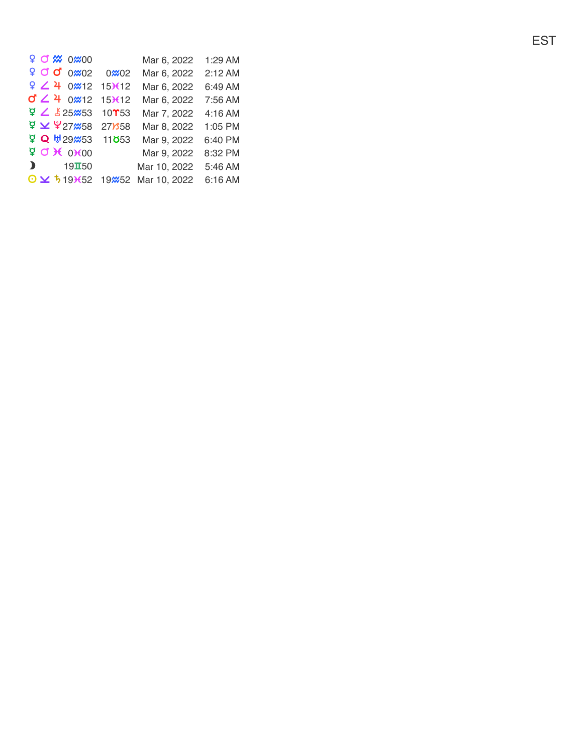|                |  | <b>9 0 % 0 % 0 9</b>              |                                                                  | Mar 6, 2022                                   | 1:29 AM |
|----------------|--|-----------------------------------|------------------------------------------------------------------|-----------------------------------------------|---------|
|                |  | $9$ O O 0 $\approx$ 0 $2$         | 0 <b>x</b> 02                                                    | Mar 6, 2022                                   | 2:12 AM |
|                |  |                                   | $9$ $\angle$ 4 0 $\frac{1}{2}$ 15 $\frac{1}{2}$ 15 $\frac{1}{2}$ | Mar 6, 2022                                   | 6:49 AM |
|                |  | $02 + 02$ 12                      | $15\times 12$                                                    | Mar 6, 2022                                   | 7:56 AM |
|                |  | $425$ $\times$ 525 $\%$ 53        | $10$ <sup><math>\gamma</math></sup> 53                           | Mar 7, 2022                                   | 4:16 AM |
|                |  |                                   | ቑ¥ 27 <sup>258</sup> 27858                                       | Mar 8, 2022                                   | 1:05 PM |
|                |  |                                   | $Q W 29 \times 53$ 11853                                         | Mar 9, 2022                                   | 6:40 PM |
|                |  | $960$ X 0000                      |                                                                  | Mar 9, 2022                                   | 8:32 PM |
| $\blacksquare$ |  | $19\textcolor{red}{\mathbf{I}}50$ |                                                                  | Mar 10, 2022                                  | 5:46 AM |
|                |  |                                   |                                                                  | $\odot$ $\times$ 5 19 652 19 652 Mar 10, 2022 | 6:16 AM |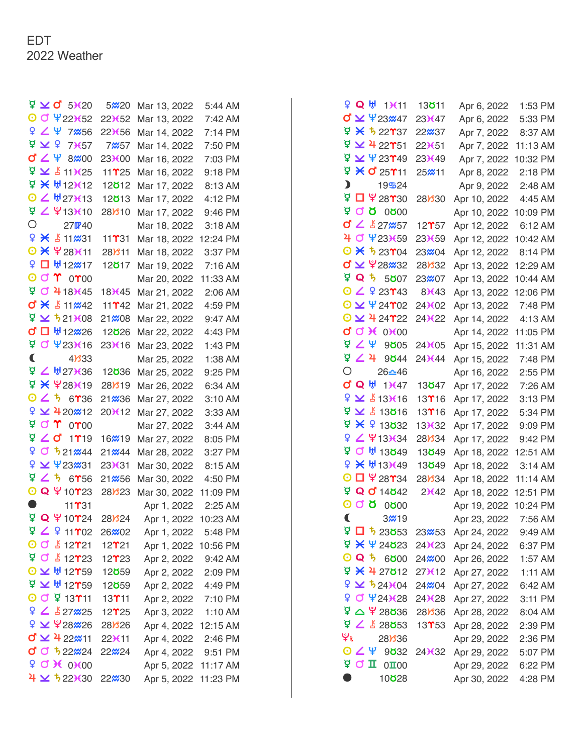|   |                              | $\frac{3}{2}$ $\times$ d' 53620                                     | 5 <b>220</b>                    | Mar 13, 2022 | 5:44 AM              |
|---|------------------------------|---------------------------------------------------------------------|---------------------------------|--------------|----------------------|
|   |                              | O O 4223652                                                         | 22 <del>X</del> 52              | Mar 13, 2022 | 7:42 AM              |
|   |                              | $924$ 7 $\text{\%}56$                                               | 22 <del>X</del> 56              | Mar 14, 2022 | 7:14 PM              |
|   | $\frac{1}{2}$ $\overline{2}$ | 73657                                                               | 7 <b>x</b> 57                   | Mar 14, 2022 | 7:50 PM              |
|   |                              | <b>d∠ \ 8</b> ‱00                                                   | 23 <sup>36</sup> 00             | Mar 16, 2022 | 7:03 PM              |
|   |                              | $4 \times 111$ (25                                                  | $11$ $\gamma$ 25                | Mar 16, 2022 | 9:18 PM              |
|   |                              | 모 米 M12K12                                                          | 12 <b>ö</b> 12                  | Mar 17, 2022 | 8:13 AM              |
|   |                              | $0 2$ #273(13                                                       | 12 <b>ö</b> 13                  | Mar 17, 2022 | 4:12 PM              |
|   |                              | 9291310                                                             | 28 <b>B</b> 10                  | Mar 17, 2022 | 9:46 PM              |
| Ο |                              | 27W40                                                               |                                 | Mar 18, 2022 | 3:18 AM              |
|   |                              | ¥ & 11 231                                                          | 11 $\Upsilon$ 31                | Mar 18, 2022 | 12:24 PM             |
|   |                              | O * \28K11                                                          | 28)811                          | Mar 18, 2022 | 3:37 PM              |
|   |                              | ♀□₩12 <del>∞</del> 17                                               | 12 <b>ö</b> 17                  | Mar 19, 2022 | 7:16 AM              |
|   |                              | $\odot$ or $\Upsilon$ or $\odot$                                    |                                 | Mar 20, 2022 | 11:33 AM             |
|   |                              | 90418145                                                            | 18)(45                          | Mar 21, 2022 | 2:06 AM              |
|   |                              | <b>d * 511%42</b>                                                   | 11 <b>Y</b> 42                  | Mar 21, 2022 | 4:59 PM              |
|   |                              | $9 \times 5211608$                                                  | $21\%08$                        | Mar 22, 2022 | 9:47 AM              |
|   |                              | <b>σ □</b> ₩12 <del>2</del> 26                                      | 12 <b>826</b>                   | Mar 22, 2022 | 4:43 PM              |
|   |                              | <b>P O 4231616</b>                                                  | 23 <b>)</b> (16                 | Mar 23, 2022 | 1:43 PM              |
| C |                              | 41333                                                               |                                 | Mar 25, 2022 | 1:38 AM              |
|   |                              | <sup>보</sup> ∠ ₩27 <del>)(</del> 36                                 | 12 <b>8</b> 36                  | Mar 25, 2022 | 9:25 PM              |
|   |                              | <u>ቑ ¥ ¥28¥19</u>                                                   | 28)819                          | Mar 26, 2022 | 6:34 AM              |
|   |                              | $0 25 6$ 736                                                        | 21 <b>2</b> 36                  | Mar 27, 2022 | 3:10 AM              |
|   |                              | º ≥ 420 × 12                                                        | 20K12                           | Mar 27, 2022 | 3:33 AM              |
|   |                              | $900$ $000$                                                         |                                 | Mar 27, 2022 | $3:44$ AM            |
|   |                              | $Q \nightharpoonup G$ 1719                                          | 16 <b>x</b> 19                  | Mar 27, 2022 | 8:05 PM              |
| ¥ |                              | $0521\frac{1}{24}44$                                                | 21 <i></i> 24                   | Mar 28, 2022 | 3:27 PM              |
|   |                              | 9 × 423 31                                                          | 23 <b></b> <del>X</del> 31      | Mar 30, 2022 | 8:15 AM              |
|   |                              | $9$ $\angle$ 5 6756                                                 | 21 <i></i> 256                  | Mar 30, 2022 | 4:50 PM              |
|   |                              | O Q \10723                                                          | 28Y <sub>23</sub>               | Mar 30, 2022 | 11:09 PM             |
|   |                              | $11$ <b>T</b> $31$                                                  |                                 | Apr 1, 2022  | 2:25 AM              |
|   |                              | $9$ Q $9$ 10 $24$                                                   | 28Y <sub>24</sub>               | Apr 1, 2022  | 10:23 AM             |
|   |                              | 42911702                                                            | 26 <del>%</del> 02              | Apr 1, 2022  | 5:48 PM              |
|   |                              | O O & 12721                                                         | $12$ $121$                      |              | Apr 1, 2022 10:56 PM |
|   |                              | <b>ጀ Ở ቆ12723</b>                                                   | $12$ $^{\circ}$ $23$            | Apr 2, 2022  | 9:42 AM              |
|   |                              | $O \times$ # 12759                                                  | 12 <b>ö</b> 59                  |              | Apr 2, 2022 2:09 PM  |
|   |                              | $\overleftarrow{2}$ $\overrightarrow{2}$ $\overrightarrow{4}$ 12759 | 12 <b>859</b>                   | Apr 2, 2022  | 4:49 PM              |
|   |                              | O O ¥ 13111                                                         | 13111                           | Apr 2, 2022  | 7:10 PM              |
|   |                              | $9 \angle 1527 \times 25$                                           | $12$ <sup><math>25</math></sup> | Apr 3, 2022  | 1:10 AM              |
|   |                              | $9 \times 28 \times 26$                                             | 28 <b>B</b> 26                  |              | Apr 4, 2022 12:15 AM |
|   |                              | <b>d ⊻ 4</b> 22 <del>‴</del> 11                                     | $22$ <b>K</b> 11                |              | Apr 4, 2022 2:46 PM  |
|   |                              | $0^{\circ}$ $0^{\circ}$ $522\%24$                                   | 22 <sup>2</sup> 24              | Apr 4, 2022  | 9:51 PM              |
|   |                              | $9$ O $\chi$ 0 $\chi$ 00                                            |                                 | Apr 5, 2022  | 11:17 AM             |
|   |                              | $4 \times 522 \times 30$                                            | 22 <sup>2</sup> 30              | Apr 5, 2022  | 11:23 PM             |

| 9 Q ⊎ 1)⊀11                                | 13 <b>8</b> 11                         | Apr 6, 2022  | 1:53 PM  |
|--------------------------------------------|----------------------------------------|--------------|----------|
| <b>σ γ</b> Ψ23 <del>≈</del> 47             | 23)(47                                 | Apr 6, 2022  | 5:33 PM  |
| ቑ ¥ 5 22737                                | 22 <b>2</b> 37                         | Apr 7, 2022  | 8:37 AM  |
| ጀ ⊻ 4 22T51                                | 22 <del>1</del> 51                     | Apr 7, 2022  | 11:13 AM |
| $\frac{6}{4}$ $\times$ $\frac{4}{2}$ 23749 | 23 <sup>3</sup> 49                     | Apr 7, 2022  | 10:32 PM |
| ቑ ¥ ď 25T11                                | 25 <b>211</b>                          | Apr 8, 2022  | 2:18 PM  |
| $\mathbf{D}$<br>19524                      |                                        | Apr 9, 2022  | 2:48 AM  |
| <b>▽ □ 半28个30</b>                          | 28 <b>B</b> 30                         | Apr 10, 2022 | 4:45 AM  |
| <b>V O O O O V</b>                         |                                        | Apr 10, 2022 | 10:09 PM |
| <b>d ∠</b> & 27 <del>‰</del> 57            | $12$ <sup><math>\gamma</math></sup> 57 | Apr 12, 2022 | 6:12 AM  |
| 4 0 4231659                                | 23 <sup>3</sup> 659                    | Apr 12, 2022 | 10:42 AM |
| $\odot$ $\times$ 5 23 $\gamma$ 04          | 23 <b>204</b>                          | Apr 12, 2022 | 8:14 PM  |
| <b>び ⊻ </b> ¥28₩32                         | 28)32                                  | Apr 13, 2022 | 12:29 AM |
| <b>ጀ Q 5</b><br>5807                       | 23 <del>%</del> 07                     | Apr 13, 2022 | 10:44 AM |
| $O Z 9 23$ T43                             | 8)(43)                                 | Apr 13, 2022 | 12:06 PM |
| $O \times 424702$                          | 24 <sup>3</sup> 602                    | Apr 13, 2022 | 7:48 PM  |
| $\odot$ $\times$ 4 24 $*$ 22               | 24 <b>)</b> (22                        | Apr 14, 2022 | 4:13 AM  |
| $Q$ $Q$ $R$ $0$ $0$                        |                                        | Apr 14, 2022 | 11:05 PM |
| ਬ ∠ ¥<br>9005                              | 24 <b>)</b> (05                        | Apr 15, 2022 | 11:31 AM |
| 9249044                                    | 24 <b></b> 644                         | Apr 15, 2022 | 7:48 PM  |
| $\bigcirc$<br>26≏46                        |                                        | Apr 16, 2022 | 2:55 PM  |
| <b>d Q ₩ 1)€47</b>                         | 13 <b>8</b> 47                         | Apr 17, 2022 | 7:26 AM  |
| $9 \times 13 \times 16$                    | $13$ $T16$                             | Apr 17, 2022 | 3:13 PM  |
| $9 \times 13016$                           | 13 <b>Y</b> 16                         | Apr 17, 2022 | 5:34 PM  |
| ጀ ¥ ዩ 13832                                | 13X32                                  | Apr 17, 2022 | 9:09 PM  |
| ¥ ∠ ¥13 <del>)(</del> 34                   | 28)334                                 | Apr 17, 2022 | 9:42 PM  |
| ¤ q<br>H 13849                             | 13 <b>8</b> 49                         | Apr 18, 2022 | 12:51 AM |
| 9 × ₩133449                                | 13 <b>8</b> 49                         | Apr 18, 2022 | 3:14 AM  |
| $\Box$ \ 28 $\gamma$ 34<br>0               | 28)34                                  | Apr 18, 2022 | 11:14 AM |
| ቑ Q 0 14642                                | 2)(42)                                 | Apr 18, 2022 | 12:51 PM |
| 000000                                     |                                        | Apr 19, 2022 | 10:24 PM |
| C<br>3 <sup>2</sup> 19                     |                                        | Apr 23, 2022 | 7:56 AM  |
| $9$ D $\frac{1}{2}$ 23853                  | 23 <del>20</del> 53                    | Apr 24, 2022 | 9:49 AM  |
| 4423                                       | 24 <b>)</b> (23                        | Apr 24, 2022 | 6:37 PM  |
| <b>0Q ち</b><br>6000                        | 24 <b>x</b> 00                         | Apr 26, 2022 | 1:57 AM  |
| ቑ ¥ 4 27612                                | 27 <b>)</b> (12                        | Apr 27, 2022 | 1:11 AM  |
| $9 \times 524104$                          | 24 <b>x</b> 04                         | Apr 27, 2022 | 6:42 AM  |
| $9$ $0$ $424$ $128$                        | 24 <sup>3</sup> 628                    | Apr 27, 2022 | 3:11 PM  |
| ቑ△ ¥ 28 <b>ర</b> 36                        | 28)336                                 | Apr 28, 2022 | 8:04 AM  |
| 9253                                       | $13$ <sup><math>T</math>53</sup>       | Apr 28, 2022 | 2:39 PM  |
| Ψr<br>28 <b>B</b> 36                       |                                        | Apr 29, 2022 | 2:36 PM  |
| ⊙∠Ψ<br>9 <b>832</b>                        | 24 <b>)</b> (32                        | Apr 29, 2022 | 5:07 PM  |
| <b>φσπ</b><br>$0\text{II}00$               |                                        | Apr 29, 2022 | 6:22 PM  |
| O<br>10 <b>828</b>                         |                                        | Apr 30, 2022 | 4:28 PM  |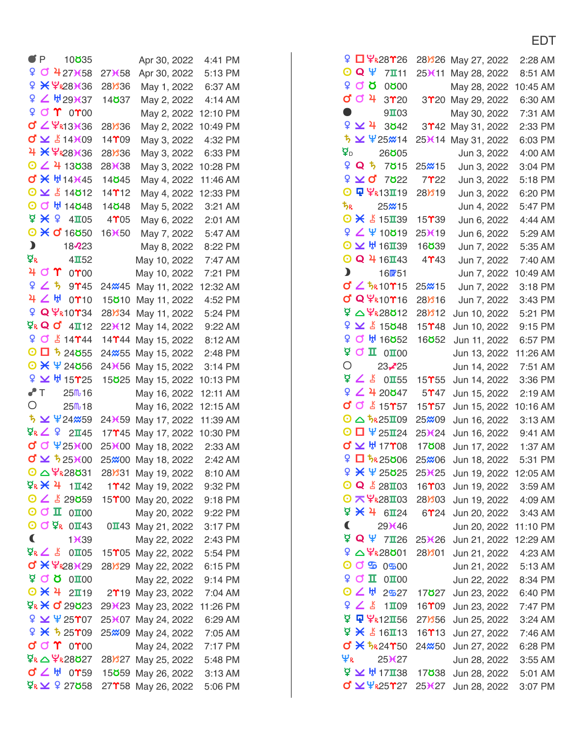| I |  |
|---|--|
|   |  |

| P                     | 10 <b>8</b> 35                                                  |                                       | Apr 30, 2022                   | 4:41 PM  |
|-----------------------|-----------------------------------------------------------------|---------------------------------------|--------------------------------|----------|
|                       | º 0 4273658                                                     | 27 <b>)</b> (58                       | Apr 30, 2022                   | 5:13 PM  |
|                       | 9 * 7R283636                                                    | 28)336                                | May 1, 2022                    | 6:37 AM  |
| ò                     | 29137                                                           | 14 <b>837</b>                         | May 2, 2022                    | 4:14 AM  |
|                       | 9 0 T 0 T 00                                                    |                                       | May 2, 2022                    | 12:10 PM |
|                       | $\sigma$ $\angle$ $\varphi$ <sub>R13</sub> $\chi$ <sub>36</sub> | 28Y36                                 | May 2, 2022                    | 10:49 PM |
|                       | $0 \times 14109$                                                | $14$ <sup><math>*</math>09</sup>      | May 3, 2022                    | 4:32 PM  |
|                       | 4 * 7R283636                                                    | 28Y36                                 | May 3, 2022                    | 6:33 PM  |
|                       | $O$ $\angle$ 4 13838                                            | 28 <sup>3</sup> 38                    | May 3, 2022                    | 10:28 PM |
|                       | <b>d * #14)(45</b>                                              | 14 <b>8</b> 45                        | May 4, 2022                    | 11:46 AM |
|                       | $Q \times 214012$                                               | $14$ <b>T</b> $12$                    | May 4, 2022                    | 12:33 PM |
|                       | O O H 14848                                                     | 14 <b>8</b> 48                        | May 5, 2022                    | 3:21 AM  |
|                       | 44105                                                           | 4 <sup>05</sup>                       | May 6, 2022                    | 2:01 AM  |
|                       | $O \times d$ 16050                                              | 16X50                                 | May 7, 2022                    | 5:47 AM  |
| $\mathbf{\mathbf{b}}$ | 18223                                                           |                                       | May 8, 2022                    | 8:22 PM  |
| ΦR                    | $4\overline{\mathbf{1}}52$                                      |                                       | May 10, 2022                   | 7:47 AM  |
|                       | 401<br>$0^{\prime\prime}00$                                     |                                       | May 10, 2022                   | 7:21 PM  |
|                       | ♀∠ち<br>$9$ <sup>145</sup>                                       | 24 <b>x</b> 45                        | May 11, 2022                   | 12:32 AM |
|                       | みてん<br>$0$ <sup><math>\gamma</math></sup> 10                    | 15 <b>ö</b> 10                        | May 11, 2022                   | 4:52 PM  |
|                       | ዩ Q ሦ <sub>R10</sub> 24                                         | 28)34                                 | May 11, 2022                   | 5:24 PM  |
|                       | $Q$ <sub>R</sub> Q O $4\pi$ 12                                  | 22 <sup>3</sup> 12                    | May 14, 2022                   | 9:22 AM  |
|                       | 90514744                                                        | $14$ $144$                            | May 15, 2022                   | 8:12 AM  |
|                       | $O$ $D$ $b$ 24055                                               | 24 <sup>%55</sup>                     | May 15, 2022                   | 2:48 PM  |
|                       | $O X \Psi 24056$                                                | 24 <sup>3</sup> 656                   | May 15, 2022                   | 3:14 PM  |
|                       | ¥ ₩ 15T25                                                       | 15 <b>ö</b> 25                        | May 15, 2022                   | 10:13 PM |
| $\bullet$ T           | 25 m 16                                                         |                                       | May 16, 2022                   | 12:11 AM |
| О                     | 25 m 18                                                         |                                       | May 16, 2022                   | 12:15 AM |
|                       | <b>ち ⊻ 半24</b> 859                                              | $24*(59)$                             | May 17, 2022                   | 11:39 AM |
|                       | $Q_R$ $Q$ 2145                                                  | 17 <b>T</b> 45                        | May 17, 2022                   | 10:30 PM |
|                       | <b>d</b> d \25100                                               | 25¥00                                 | May 18, 2022                   | 2:33 AM  |
|                       | $0 \times 525100$                                               | 25 <b>x</b> 00                        | May 18, 2022                   | 2:42 AM  |
|                       | $O \triangle \frac{9}{2}$ $28031$                               | 28)31                                 | May 19, 2022                   | 8:10 AM  |
|                       | ¤ <sub>κ</sub> * ታ<br>$1\Pi$ 42                                 |                                       | 1 <sup>2</sup> 42 May 19, 2022 | 9:32 PM  |
|                       | $O$ $\angle$ $\Sigma$ 29859                                     | 15 <sup>00</sup>                      | May 20, 2022                   | 9:18 PM  |
|                       | $\overline{\mathbb{O}}$ of $\overline{\mathbb{I}}$<br>0100      |                                       | May 20, 2022                   | 9:22 PM  |
|                       | $O$ $O$ $Q_R$ 0143                                              |                                       | $0\overline{1}43$ May 21, 2022 | 3:17 PM  |
| $\blacklozenge$       | 1X39                                                            |                                       | May 22, 2022                   | 2:43 PM  |
|                       | ጃል ጊ<br>$0$ <b>II</b> $05$                                      | 15 <sup>2</sup> 05                    | May 22, 2022                   | 5:54 PM  |
|                       | <b>0 * ¥R283629</b>                                             | 28 <i>1</i> 829                       | May 22, 2022                   | 6:15 PM  |
|                       | $\beta$ Q $\beta$<br>0100                                       |                                       | May 22, 2022                   | 9:14 PM  |
|                       | $\odot$ $\times$ 4<br>$2\Pi$ 19                                 | $2$ <sup><math>\gamma</math></sup> 19 | May 23, 2022                   | 7:04 AM  |
|                       | ቑ <b>¥ 0 29823</b>                                              | 29 <del>3</del> (23                   | May 23, 2022                   | 11:26 PM |
|                       | $9 \times 425$                                                  | 25¥07                                 | May 24, 2022                   | 6:29 AM  |
|                       | $9 + 525$ T09                                                   | 25 <b><i>m</i></b> 09                 | May 24, 2022                   | 7:05 AM  |
|                       | d d 1 0100                                                      |                                       | May 24, 2022                   | 7:17 PM  |
|                       | ፶ <sub>ዪ</sub> △ Ψ <sub>ዪ</sub> 28 <b>୪</b> 27                  | 28Y <sub>27</sub>                     | May 25, 2022                   | 5:48 PM  |
|                       | $0 \leq$ # 0759                                                 | 15 <b>859</b>                         | May 26, 2022                   | 3:13 AM  |
|                       | ቑ <sub>R</sub> ⊻ º 27058                                        | 27 <b>T</b> 58                        | May 26, 2022                   | 5:06 PM  |

| Q<br><b>□ Ψ</b> ዬ28 <b>Υ</b> 26                                                                           | 28 <b>)</b> 28                           | May 27, 2022                                   | $2:28$ AM          |
|-----------------------------------------------------------------------------------------------------------|------------------------------------------|------------------------------------------------|--------------------|
| $OQ\Psi$<br>$7$ $\overline{1}$ 11                                                                         | 25X11                                    | May 28, 2022                                   | 8:51 AM            |
| 900<br>0000                                                                                               |                                          | May 28, 2022                                   | 10:45 AM           |
| $d$ $d$ 4<br>3 <sup>20</sup>                                                                              | $3$ $^{\prime\prime}$ 20                 | May 29, 2022                                   | 6:30 AM            |
| D<br>9103                                                                                                 |                                          | May 30, 2022                                   | 7:31 AM            |
| ♀⊻4<br>3 <b>842</b>                                                                                       | 3 <b>T</b> 42                            | May 31, 2022                                   | 2:33 PM            |
| ち ⊻ 半25214                                                                                                | 25 <b>)</b> (14                          | May 31, 2022                                   | 6:03 PM            |
| $\overline{\mathbf{p}}_{\mathsf{D}}$<br>26 <b>8</b> 05                                                    |                                          | Jun 3, 2022                                    | 4:00 AM            |
| <b>♀Qち</b><br><b>7815</b>                                                                                 | 25% 15                                   | Jun 3, 2022                                    | 3:04 PM            |
| $9 \times 9$<br><b>7822</b>                                                                               | 7 <sup>22</sup>                          | Jun 3, 2022                                    | 5:18 PM            |
| $\Psi$ $\varphi$ <sub>R13</sub> 19<br>0                                                                   | 28Y19                                    | Jun 3, 2022                                    | 6:20 PM            |
| <b>t</b> <sub>R</sub><br>25 <sup>%</sup> 15                                                               |                                          | Jun 4, 2022                                    | 5:47 PM            |
| $\odot$ $\times$ $\times$ 15 $\text{II}$ 39                                                               | $15$ <sup><math>*</math></sup> 39        | Jun 6, 2022                                    | 4:44 AM            |
| 92410019                                                                                                  | 25 <sup>3</sup> 619                      | Jun 6, 2022                                    | 5:29 AM            |
| $O \times$ # 16139                                                                                        | 16 <b>839</b>                            | Jun 7, 2022                                    | 5:35 AM            |
| © Q 4 16143                                                                                               | 4 <sup>1</sup> 43                        | Jun 7, 2022                                    | 7:40 AM            |
| $\mathbf{\mathbf{b}}$<br>16m <sub>51</sub>                                                                |                                          | Jun 7, 2022                                    | 10:49 AM           |
| $\sigma$ $\angle$ $\frac{1}{2}$ $\frac{1}{2}$ $\frac{1}{2}$ $\frac{1}{2}$                                 | 25% 15                                   | Jun 7, 2022                                    | 3:18 PM            |
| <b>σ Q Ψ</b> κ10γ16                                                                                       | 28Y16                                    | Jun 7, 2022                                    | 3:43 PM            |
| ጀ △ ¥R28012                                                                                               | 28)812                                   | Jun 10, 2022                                   | 5:21 PM            |
| $9 \times 15048$                                                                                          | $15$ <sup><math>48</math></sup>          | Jun 10, 2022                                   | 9:15 PM            |
| ¥<br>$d$ $H$ 16052                                                                                        | 16 <b>852</b>                            | Jun 11, 2022                                   | 6:57 PM            |
| $\frac{1}{2}$ O II 0I00                                                                                   |                                          | Jun 13, 2022                                   | 11:26 AM           |
| О<br>23-25                                                                                                |                                          | Jun 14, 2022                                   | 7:51 AM            |
| $\nabla \times 0$ I55                                                                                     | $15$ <sup><math>\gamma</math></sup> 55   | Jun 14, 2022                                   | 3:36 PM            |
| 92420047                                                                                                  | 5 <sup>2</sup>                           | Jun 15, 2022                                   | 2:19 AM            |
| $01$ $61$ 5757                                                                                            | $15$ <sup><math>\gamma</math></sup> 57   | Jun 15, 2022                                   | 10:16 AM           |
| $\odot$ $\triangle$ $\frac{t}{2}$ $\sim$ 25 $\text{I}$ 09                                                 | 25 <b>x</b> 09                           | Jun 16, 2022                                   | 3:13 AM            |
| $O$ $D$ $4$ 25 $I$ 24                                                                                     | 25X24                                    | Jun 16, 2022                                   | 9:41 AM            |
| <b>d ⊻</b> ₩ 17708                                                                                        | 17 <b>808</b>                            | Jun 17, 2022                                   | 1:37 AM            |
| $9$ + 325006                                                                                              | 25 <b>x</b> 06                           | Jun 18, 2022                                   | 5:31 PM            |
| ¥ ¥ 25025                                                                                                 | 25 <sup>3</sup> 625                      | Jun 19, 2022                                   | 12:05 AM           |
| O Q & 28I03                                                                                               | $16$ <sup><math>m</math></sup> 03        | Jun 19, 2022                                   | 3:59 AM            |
| $O$ $\nabla$ $\varphi$ <sub>R28</sub> IO3                                                                 | 28 <b>B03</b>                            | Jun 19, 2022                                   |                    |
| $7 \times 4 6124$                                                                                         | $6$ $^{\circ}$ 24                        |                                                | 4:09 AM<br>3:43 AM |
| C<br>29 <b></b> <del>X</del> 46                                                                           |                                          | Jun 20, 2022                                   |                    |
| $\frac{6}{7}$ Q $\frac{4}{7}$ 7126                                                                        | 25 <sup>3</sup> 626                      | Jun 20, 2022 11:10 PM<br>Jun 21, 2022 12:29 AM |                    |
| ₽ △ ¥R28801                                                                                               | 28Y01                                    |                                                |                    |
| $O$ of $\mathfrak{S}$ 0500                                                                                |                                          | Jun 21, 2022                                   | 4:23 AM<br>5:13 AM |
| $9$ O II 0100                                                                                             |                                          | Jun 21, 2022                                   | 8:34 PM            |
| ⊙∠⊮<br>2527                                                                                               | 17 <b>ö</b> 27                           | Jun 22, 2022                                   | 6:40 PM            |
| 9251109                                                                                                   |                                          | Jun 23, 2022                                   |                    |
| $\overline{2}$ $\overline{\mathbf{Q}}$ $\overline{\mathbf{Y}}$ $\mathbf{R}$ 12 $\overline{\mathbf{I}}$ 56 | $16$ <sup><math>*</math></sup> 09        | Jun 23, 2022                                   | 7:47 PM            |
| $4 \times 16113$                                                                                          | 27Y56                                    | Jun 25, 2022                                   | 3:24 AM            |
| $\sigma$ $\times$ $5R24750$                                                                               | $16$ <sup><math>\gamma</math></sup> $13$ | Jun 27, 2022                                   | 7:46 AM            |
| Ψr                                                                                                        | 24 <sup>2</sup> 50                       | Jun 27, 2022                                   | 6:28 PM            |
| $25*(27)$<br>$\frac{1}{2}$ $\times$ $\frac{1}{2}$ 17 $\frac{1}{2}$ 38                                     |                                          | Jun 28, 2022                                   | $3:55$ AM          |
| <b>σ' ⊻ Ψ</b> κ25 <b>Υ</b> 27                                                                             | 17 <b>ö</b> 38                           | Jun 28, 2022                                   | 5:01 AM            |
|                                                                                                           | 25X27                                    | Jun 28, 2022                                   | 3:07 PM            |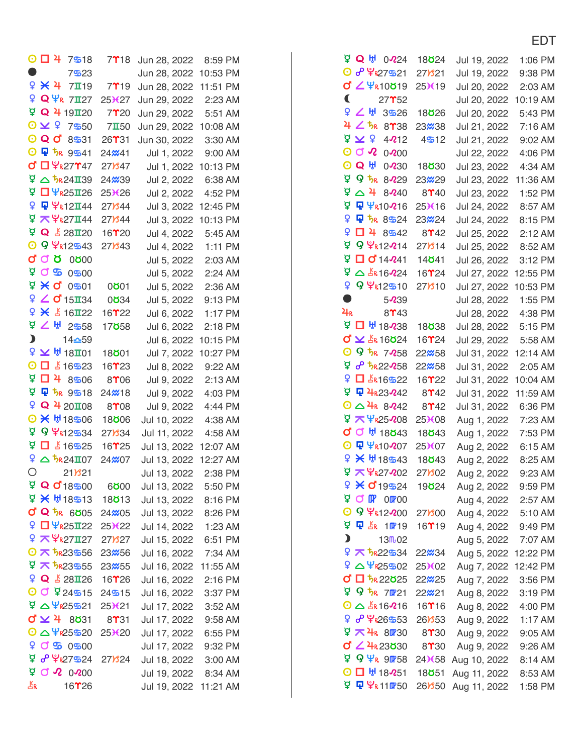| ⊙ □ 4<br>7518                                                                                                                                                                                                                                                                                                              | $7$ <sup>18</sup>   | Jun 28, 2022         | 8:59 PM   |
|----------------------------------------------------------------------------------------------------------------------------------------------------------------------------------------------------------------------------------------------------------------------------------------------------------------------------|---------------------|----------------------|-----------|
| D<br>7523                                                                                                                                                                                                                                                                                                                  |                     | Jun 28, 2022         | 10:53 PM  |
| $9 \times 4$<br>7119                                                                                                                                                                                                                                                                                                       | 7 <sup>19</sup>     | Jun 28, 2022         | 11:51 PM  |
| ¥<br>$Q\Psi_R$ 7127                                                                                                                                                                                                                                                                                                        | 25X27               | Jun 29, 2022         | 2:23 AM   |
| <b>D</b> Q 4 19120                                                                                                                                                                                                                                                                                                         | 7 <sup>20</sup>     | Jun 29, 2022         | 5:51 AM   |
| 0<br>$\times$ \$<br>7550                                                                                                                                                                                                                                                                                                   | $7\Pi50$            | Jun 29, 2022         | 10:08 AM  |
| $\boldsymbol{\Theta}$<br>$Q$ $O$<br>8531                                                                                                                                                                                                                                                                                   | 26T31               | Jun 30, 2022         | 3:30 AM   |
| ⊙ Q 5R 9541                                                                                                                                                                                                                                                                                                                | 24 <sup>2</sup> 41  | Jul 1, 2022          | 9:00 AM   |
| <b>♂ □ ¥R27147</b>                                                                                                                                                                                                                                                                                                         | 27)847              | Jul 1, 2022          | 10:13 PM  |
| $9$ $\Delta$ $\frac{1}{2}$ $\Omega$ $\frac{1}{2}$ $\frac{1}{2}$ $\frac{1}{2}$ $\frac{1}{2}$ $\frac{1}{2}$ $\frac{1}{2}$ $\frac{1}{2}$ $\frac{1}{2}$ $\frac{1}{2}$ $\frac{1}{2}$ $\frac{1}{2}$ $\frac{1}{2}$ $\frac{1}{2}$ $\frac{1}{2}$ $\frac{1}{2}$ $\frac{1}{2}$ $\frac{1}{2}$ $\frac{1}{2}$ $\frac{1}{2}$ $\frac{1}{2$ | 24 <b>x39</b>       | Jul 2, 2022          | 6:38 AM   |
| ₫<br>$\Box$ $\Psi$ <sub>R25</sub> $\Pi$ 26                                                                                                                                                                                                                                                                                 | 25X26               | Jul 2, 2022          | 4:52 PM   |
| ¥<br><b>Q ¥R12I44</b>                                                                                                                                                                                                                                                                                                      | 27) 344             | Jul 3, 2022          | 12:45 PM  |
| ₫.<br><b>ス</b> 字 <sub>R</sub> 27Ⅱ44                                                                                                                                                                                                                                                                                        | 27) 344             | Jul 3, 2022          | 10:13 PM  |
| <b>D</b> Q $\angle 28$ 120                                                                                                                                                                                                                                                                                                 | 16 <b>T</b> 20      | Jul 4, 2022          | 5:45 AM   |
| O 9 7R12543                                                                                                                                                                                                                                                                                                                | 27) 343             | Jul 4, 2022          | 1:11 PM   |
| ď<br><b>O Q Q 0200</b>                                                                                                                                                                                                                                                                                                     |                     | Jul 5, 2022          | 2:03 AM   |
| ₫<br>ර න<br>$0 - 00$                                                                                                                                                                                                                                                                                                       |                     | Jul 5, 2022          | 2:24 AM   |
| ₫.<br><b>X Q</b><br>0501                                                                                                                                                                                                                                                                                                   | 0001                | Jul 5, 2022          | 2:36 AM   |
| ¥<br>$\angle$ d'15 $\text{II}34$                                                                                                                                                                                                                                                                                           | 0834                | Jul 5, 2022          | 9:13 PM   |
| 9 × 5 16I22                                                                                                                                                                                                                                                                                                                | 16 <b>T22</b>       | Jul 6, 2022          | 1:17 PM   |
| 45.92928                                                                                                                                                                                                                                                                                                                   | 17 <b>858</b>       | Jul 6, 2022          | 2:18 PM   |
| $\mathbf{D}$<br>14≏59                                                                                                                                                                                                                                                                                                      |                     | Jul 6, 2022          | 10:15 PM  |
| ♀ ⊻ ₩ 18Ⅱ01                                                                                                                                                                                                                                                                                                                | 18 <b>801</b>       | Jul 7, 2022          | 10:27 PM  |
| $\boldsymbol{\odot}$<br>$\Box$ $\angle$ 16523                                                                                                                                                                                                                                                                              | 16 <b>T23</b>       | Jul 8, 2022          | 9:22 AM   |
| ₫<br>口 4 8506                                                                                                                                                                                                                                                                                                              | 8 <sup>06</sup>     | Jul 9, 2022          | 2:13 AM   |
| ₫<br>中 5R 9518                                                                                                                                                                                                                                                                                                             | 24 <b>%18</b>       | Jul 9, 2022          | 4:03 PM   |
| Q<br>Q 4 20108                                                                                                                                                                                                                                                                                                             | 8 <sup>0</sup> 08   | Jul 9, 2022          | 4:44 PM   |
| $\odot$<br><b>※ 出18506</b>                                                                                                                                                                                                                                                                                                 | 18 <b>806</b>       | Jul 10, 2022         | 4:38 AM   |
| ₫<br>9 7R12534                                                                                                                                                                                                                                                                                                             | 27) 34              | Jul 11, 2022         | 4:58 AM   |
| ø<br>$\Box$ $\angle$ 16525                                                                                                                                                                                                                                                                                                 | 16 <b>T25</b>       | Jul 13, 2022         | 12:07 AM  |
| $9$ $\Delta$ $\frac{1}{2}$ R24I07                                                                                                                                                                                                                                                                                          | 24%07               | Jul 13, 2022         | 12:27 AM  |
| О<br>$21$ <i><b>B<sub>21</sub></b></i>                                                                                                                                                                                                                                                                                     |                     | Jul 13, 2022         | 2:38 PM   |
| ₫<br>Q 018500                                                                                                                                                                                                                                                                                                              | 6000                | Jul 13, 2022         | 5:50 PM   |
| $9$ $\times$ $H$ 18513                                                                                                                                                                                                                                                                                                     | 18 <b>813</b>       | Jul 13, 2022         | 8:16 PM   |
| <b>d' Q</b> $\frac{1}{2}$ R 6005                                                                                                                                                                                                                                                                                           | 24 <b>x</b> 05      | Jul 13, 2022 8:26 PM |           |
| $\mathsf{Q}$ $\Box$ $\mathsf{\Psi}$ $\mathsf{R}25$ $\mathsf{\Pi}22$                                                                                                                                                                                                                                                        | $25*(22)$           | Jul 14, 2022         | 1:23 AM   |
| $9 \times \frac{6}{2}$ 271127                                                                                                                                                                                                                                                                                              | 27 <b>B</b> 27      | Jul 15, 2022 6:51 PM |           |
| $O \times 5R23556$                                                                                                                                                                                                                                                                                                         | 23 <sub>x</sub> 56  | Jul 16, 2022         | 7:34 AM   |
| $9 \times 5823555$                                                                                                                                                                                                                                                                                                         | 23 <sup>2</sup> 55  | Jul 16, 2022         | 11:55 AM  |
| <b>Q &amp; 28126</b>                                                                                                                                                                                                                                                                                                       | 16 <b>T</b> 26      | Jul 16, 2022         | 2:16 PM   |
| $O$ $O$ ¥ 24 $S$ 15                                                                                                                                                                                                                                                                                                        | $24$ % 15           | Jul 16, 2022         | 3:37 PM   |
| $9$ $\Delta$ $4$ $825$ $521$                                                                                                                                                                                                                                                                                               | 25(21)              | Jul 17, 2022         | $3:52$ AM |
| $0 \times 4$ 8831                                                                                                                                                                                                                                                                                                          | 8 <sup>1</sup> 31   | Jul 17, 2022         | 9:58 AM   |
| ©△¥R25520                                                                                                                                                                                                                                                                                                                  | 25 <sup>3</sup> (20 | Jul 17, 2022         | 6:55 PM   |
|                                                                                                                                                                                                                                                                                                                            |                     | Jul 17, 2022         | 9:32 PM   |
| ጀ <mark>ዏ</mark> ሦ <sub>ዬ27</sub> ை24                                                                                                                                                                                                                                                                                      | 27 <b>)</b> 24      | Jul 18, 2022 3:00 AM |           |
| $\Delta$ Q $\gamma$ 0 000                                                                                                                                                                                                                                                                                                  |                     | Jul 19, 2022 8:34 AM |           |
| Ψř<br>16 <b>T26</b>                                                                                                                                                                                                                                                                                                        |                     | Jul 19, 2022         | 11:21 AM  |

| <b>⊅ O</b> A<br>$0\,24$                                                                          | 18 <b>8</b> 24                        | Jul 19, 2022        | 1:06 PM            |
|--------------------------------------------------------------------------------------------------|---------------------------------------|---------------------|--------------------|
| 0 8 4 27 5 21                                                                                    | 27 <b><i>8</i>21</b>                  | Jul 19, 2022        | 9:38 PM            |
| $\sigma$ $\angle$ $\Psi$ <sub>R10</sub> o <sub>19</sub>                                          | 25X19                                 | Jul 20, 2022        | 2:03 AM            |
| C<br>$27^{\prime\prime}52$                                                                       |                                       | Jul 20, 2022        | 10:19 AM           |
| ፝ዸጞ<br>3526                                                                                      | 18 <b>826</b>                         | Jul 20, 2022        | 5:43 PM            |
| 425R<br>8 <sup>1</sup> 38                                                                        | 23 <del>%</del> 38                    | Jul 21, 2022        | 7:16 AM            |
| $\frac{1}{2}$ $\overline{2}$<br>$4\cdot 12$                                                      | 4512                                  | Jul 21, 2022        | 9:02 AM            |
| 0 Q V<br>0 <sub>00</sub>                                                                         |                                       | Jul 22, 2022        | 4:06 PM            |
| ⊙ Q ⊬<br>0 <sub>230</sub>                                                                        | 18 <b>830</b>                         | Jul 23, 2022        | 4:34 AM            |
| <b>ጀ ዓ <sub>ንዬ</sub></b><br>$8\cdot 29$                                                          | 23 <b>x</b> 29                        | Jul 23, 2022        | 11:36 AM           |
| ₫.<br>$\triangle$ 4<br>$8\cdot 40$                                                               | 8 <sup>1</sup> 40                     | Jul 23, 2022        | 1:52 PM            |
| ₫.<br><b>Ψ</b> ΨR10216                                                                           | 25X16                                 | Jul 24, 2022        | 8:57 AM            |
| ò<br>早な<br>8524                                                                                  | 23 <del>2</del> 24                    | Jul 24, 2022        | 8:15 PM            |
| Q<br>口 4<br>8542                                                                                 | 8 <sup>2</sup>                        | Jul 25, 2022        | 2:12 AM            |
| ጀ <b>9 Ψ<sub>R12</sub>21</b> 4                                                                   | $27$ $814$                            | Jul 25, 2022        | 8:52 AM            |
| $\overline{9}$ O 14-241                                                                          | 14 <b>8</b> 41                        | Jul 26, 2022        | 3:12 PM            |
| ₫.<br>$\triangle$ $\frac{1}{2}$ $\Omega$ 16 $\Omega$ 24                                          | 16 <b>T24</b>                         | Jul 27, 2022        | 12:55 PM           |
| 9 9 ሦR12510                                                                                      | 27Y <sub>310</sub>                    | Jul 27, 2022        | 10:53 PM           |
| $\bullet$<br>$5\,0.39$                                                                           |                                       | Jul 28, 2022        | 1:55 PM            |
| 4R<br>8 <sup>143</sup>                                                                           |                                       | Jul 28, 2022        | 4:38 PM            |
| $\overline{9}$ D $\overline{9}$ 18 $\overline{2}$ 38                                             | 18 <b>838</b>                         | Jul 28, 2022        | 5:15 PM            |
| <b>0 ≤ LR 16024</b>                                                                              | $16$ $T24$                            | Jul 29, 2022        | 5:58 AM            |
| 0 9 th 7258                                                                                      | 22 <b>~5</b> 8                        | Jul 31, 2022        | 12:14 AM           |
| $956$ ን አደ22058                                                                                  | 22 <sup>2</sup> 58                    | Jul 31, 2022        | 2:05 AM            |
| ¥<br>$\Box$ $\angle$ R <sub>16</sub> S <sub>22</sub>                                             | $16$ $722$                            | Jul 31, 2022        | 10:04 AM           |
| ¥ <mark>¥</mark> 4 <sub>R23</sub> 242                                                            | $8$ <sup>2</sup> 42                   | Jul 31, 2022        | 11:59 AM           |
| $0 \triangle 4R 8242$                                                                            | 8 <sup>142</sup>                      | Jul 31, 2022        | 6:36 PM            |
| <b>ロス半25208</b>                                                                                  | 25 <b></b> <del>X</del> 08            |                     | 7:23 AM            |
| <b>d</b> Q H 18843                                                                               | 18 <b>8</b> 43                        | Aug 1, 2022         | 7:53 PM            |
|                                                                                                  | 25X07                                 | Aug 1, 2022         | 6:15 AM            |
| 9 米 H18543                                                                                       | 18 <b>8</b> 43                        | Aug 2, 2022         |                    |
| ቑ <b>⊼</b> Ψ <sub>R27202</sub>                                                                   | 27Y <sub>8</sub> 02                   | Aug 2, 2022         | 8:25 AM<br>9:23 AM |
| 2 × 019524                                                                                       |                                       | Aug 2, 2022         |                    |
| <b>PON OFOO</b>                                                                                  | 19 <b>824</b>                         | Aug 2, 2022         | 9:59 PM            |
| O 9 7812200                                                                                      |                                       | Aug 4, 2022 2:57 AM |                    |
| <b>ጀ ሞ</b> ∠ል 1 <b></b> 019                                                                      | 27) 300                               | Aug 4, 2022 5:10 AM |                    |
| $\mathbf{\mathbf{z}}$                                                                            | $16$ <b><math>^{\prime}</math></b> 19 | Aug 4, 2022 9:49 PM |                    |
| 13m <sub>02</sub>                                                                                |                                       | Aug 5, 2022 7:07 AM |                    |
| $97$ 5R22534<br>$9$ $\Delta$ $4$ $25$ $302$                                                      | 22 <del>m</del> 34                    | Aug 5, 2022         | 12:22 PM           |
|                                                                                                  | $25*(02)$                             | Aug 7, 2022         | 12:42 PM           |
| $\sigma$ $\Box$ $\frac{1}{2}$ $\frac{1}{2}$ $\frac{2}{2}$ $\frac{2}{3}$ $\Box$                   | 22 <b>x</b> 25                        | Aug 7, 2022         | 3:56 PM            |
| $Q$ ን <sub>κ</sub> 7021<br>$0 \triangle$ $\frac{1}{2}$ $\frac{1}{2}$ $\frac{1}{2}$ $\frac{1}{2}$ | 22 <del>,</del> 21                    | Aug 8, 2022         | 3:19 PM            |
|                                                                                                  | $16$ <b>T</b> $16$                    | Aug 8, 2022 4:00 PM |                    |
| ¥ <b>∂ ¥</b> Ջ653                                                                                | 26 <b>B</b> 53                        | Aug 9, 2022         | 1:17 AM            |
| ☆ 74k 80230                                                                                      | 8 <sup>1</sup> 30                     | Aug 9, 2022         | 9:05 AM            |
| <b>d</b> ∠ 4R23030                                                                               | $8$ T30                               | Aug 9, 2022         | 9:26 AM            |
| $\varphi$ Q $\psi$ <sub>R</sub> 90758                                                            | 24 <b></b> <del>X</del> 58            | Aug 10, 2022        | 8:14 AM            |
| $\odot$ $\Box$ $\frac{11}{3}$ 18251 18851                                                        |                                       | Aug 11, 2022        | 8:53 AM            |
| ጀ <b>፱</b> ¥ <sub>ዪ11</sub> ው50                                                                  | 26Y50                                 | Aug 11, 2022        | 1:58 PM            |

## EDT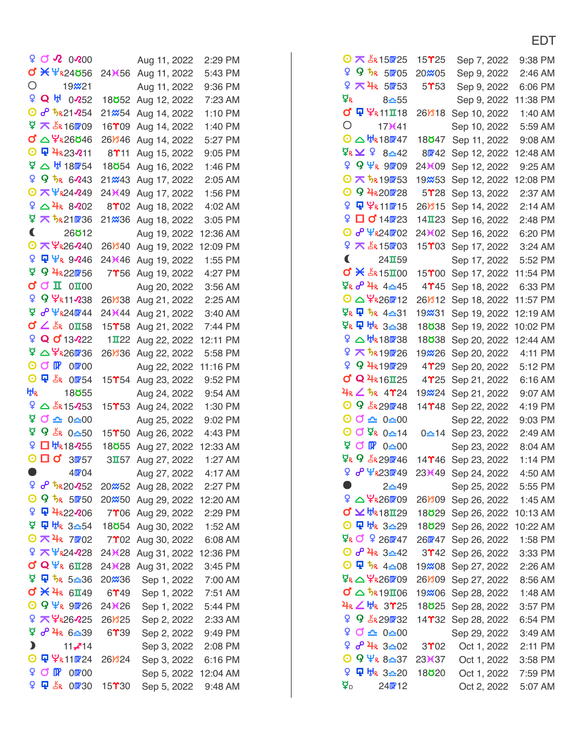| $5QV$ 0.000                                  |                                         | Aug 11, 2022                 | 2:29 PM  |
|----------------------------------------------|-----------------------------------------|------------------------------|----------|
| <b>σ * Ψ</b> κ24656                          | 24 <b></b> <del>X</del> 56              | Aug 11, 2022                 | 5:43 PM  |
| Ο<br>19 <b>x</b> 21                          |                                         | Aug 11, 2022                 | 9:36 PM  |
| 9 Q ⊎ 0·252                                  | 18 <b>852</b>                           | Aug 12, 2022                 | 7:23 AM  |
| $O$ $op$ $\frac{t}{R}$ $21$ $254$            | 21 <b></b> 854                          | Aug 14, 2022                 | 1:10 PM  |
| $9 \times 160009$                            | 16 <b>T</b> 09                          | Aug 14, 2022                 | 1:40 PM  |
| <u>σ' △ Ψ<sub>R</sub>26</u> ö46              | $26$ <i><b>846</b></i>                  | Aug 14, 2022                 | 5:27 PM  |
| ⊙ Q 4R23211                                  | $8$ $^{\prime}$ 11                      | Aug 15, 2022                 | 9:05 PM  |
| $\frac{6}{5}$ $\Delta$ $\frac{11}{5}$ 180754 | 18 <b>854</b>                           | Aug 16, 2022                 | 1:46 PM  |
| 95R6243                                      | 21 <i></i> 243                          | Aug 17, 2022                 | 2:05 AM  |
| <b>⊙ 不 半R24249</b>                           | 24 <sup>3</sup> 49                      | Aug 17, 2022                 | 1:56 PM  |
| $9$ $\triangle$ 4k 8002                      | 8 <sup>0</sup> 02                       | Aug 18, 2022                 | 4:02 AM  |
| ቑ <b>⊼</b> <i>፟</i> አደ10736                  | 21 <b>x</b> 36                          | Aug 18, 2022                 | 3:05 PM  |
| €<br>26 <b>812</b>                           |                                         | Aug 19, 2022                 | 12:36 AM |
| © KYR26240                                   | 26Y340                                  | Aug 19, 2022                 | 12:09 PM |
| 9 <mark>4</mark> ΨR 9246                     | 24 <b>)</b> (46                         | Aug 19, 2022                 | 1:55 PM  |
| ਹ<br>9 4R220756                              | 7 <sup>1</sup> 56                       | Aug 19, 2022                 | 4:27 PM  |
| CCI 0I00                                     |                                         | Aug 20, 2022                 | 3:56 AM  |
| 9 9 ሦR11 238                                 | 26 <b>B</b> 38                          | Aug 21, 2022                 | 2:25 AM  |
| ቑ <sup>θΨ</sup> R24 <mark>0</mark> 744       | 24 <b></b> 644                          | Aug 21, 2022                 | 3:40 AM  |
| <b>O ∠</b> AR 0158                           | $15$ <sup><math>\text{T}</math>58</sup> | Aug 21, 2022                 | 7:44 PM  |
| ዩ Q 0 13222                                  | $1 \mathbf{I} 22$                       | Aug 22, 2022                 | 12:11 PM |
| ቑ△¥ <sub>R26</sub> m36                       | 26Y36                                   | Aug 22, 2022                 | 5:58 PM  |
| $CP$ $OP$ $OR$ 00<br>0.                      |                                         | Aug 22, 2022                 | 11:16 PM |
| O Q _ _ _ s <sub>R</sub> 00754               | $15$ <sup><math>\gamma</math></sup> 54  | Aug 23, 2022                 | 9:52 PM  |
| H,<br>18 <b>855</b>                          |                                         |                              | 9:54 AM  |
| $9 \triangle$ $\frac{15033}{500}$            | $15$ <sup><math>\gamma</math></sup> 53  | Aug 24, 2022<br>Aug 24, 2022 | 1:30 PM  |
| $90 - 0 - 00$                                |                                         | Aug 25, 2022                 | 9:02 PM  |
| ቑ 9 ឹk 0 <u>≏</u> 50                         | $15$ $^{\circ}$ 50                      | Aug 26, 2022                 | 4:43 PM  |
| Q.<br>□ th <sub>R18</sub> 255                | 18 <b>855</b>                           | Aug 27, 2022                 | 12:33 AM |
| $\odot$ $\Box$ $\sigma'$ 3 $m$ 57            | $3\Pi 57$                               | Aug 27, 2022                 | 1:27 AM  |
| O<br>40P04                                   |                                         | Aug 27, 2022                 | 4:17 AM  |
| 96520052                                     | 20 <sub>x</sub> 52                      | Aug 28, 2022                 | 2:27 PM  |
| O 9 5R 50750                                 | 20 <sub>x</sub> 50                      | Aug 29, 2022 12:20 AM        |          |
| 9 中 4R22206                                  | 7 <sup>06</sup>                         | Aug 29, 2022 2:29 PM         |          |
| ਕੁ<br>P 버R 3≏54                              | 18 <b>854</b>                           |                              |          |
| ⊙ K 4R 7002                                  | 7 <sup>02</sup>                         | Aug 30, 2022 1:52 AM         |          |
| 9 天 半R24228                                  |                                         | Aug 30, 2022 6:08 AM         |          |
| $\sigma$ Q $\Psi$ <sub>R</sub> 6128          | 24 <sup>×</sup> 28                      | Aug 31, 2022                 | 12:36 PM |
| ¥ ₽ 5△36                                     | 24 <sup>×</sup> 28                      | Aug 31, 2022                 | 3:45 PM  |
| $\sigma$ $\times$ $4k$                       | 20 <del>%</del> 36                      | Sep 1, 2022                  | 7:00 AM  |
| $6$ <b>H</b> $49$                            | $6$ $^{\prime}$ 49                      | Sep 1, 2022                  | 7:51 AM  |
| $\odot$ 9 $\Psi$ <sub>R</sub> 90726          | 24 <b>)</b> (26                         | Sep 1, 2022 5:44 PM          |          |
| 9 天毕R26225                                   | $26$ <i>m</i> $325$                     | Sep 2, 2022 2:33 AM          |          |
| ቑ ∂ 4R 6 <u>^</u> 39                         | $6$ $^{\circ}$ 39                       | Sep 2, 2022                  | 9:49 PM  |
| $\mathbf{\mathbf{z}}$<br>$11 - 14$           |                                         | Sep 3, 2022                  | 2:08 PM  |
| ⊙ Q ¥R 11024                                 | $26$ <i>m</i> $324$                     | Sep 3, 2022                  | 6:16 PM  |
| Q.<br>OF OF OO                               |                                         | Sep 5, 2022 12:04 AM         |          |
| Q.<br><b>中 齿 00730</b>                       | $15$ <sup><math>*</math></sup> 30       | Sep 5, 2022                  | 9:48 AM  |

| $O \times$ $K$ 15025                     | 15 $\Upsilon$ 25                         | Sep 7, 2022                  | 9:38 PM            |
|------------------------------------------|------------------------------------------|------------------------------|--------------------|
| 9 ዓ <i>ካ</i><br>50705                    | 20 <del>%</del> 05                       | Sep 9, 2022                  | 2:46 AM            |
| 9 不4R 50P53                              | 5 <sup>0</sup> 53                        | Sep 9, 2022                  | 6:06 PM            |
| ¥r<br>$8 - 55$                           |                                          | Sep 9, 2022                  | 11:38 PM           |
| <b>σ Φ Ψ<sub>R11</sub>I18</b>            | 26Y <sub>18</sub>                        | Sep 10, 2022                 | 1:40 AM            |
| Ο<br>17(41)                              |                                          | Sep 10, 2022                 | 5:59 AM            |
| $O \triangle$ $H_R$ 18 $M$ 47            | 18 <b>8</b> 47                           | Sep 11, 2022                 | 9:08 AM            |
| ጀ <sub>R</sub> ⊻ ♀ 8 <u>≏</u> 42         | 80742                                    | Sep 12, 2022                 | 12:48 AM           |
| $9 \Psi_R$ 9009                          | $24*(09)$                                | Sep 12, 2022                 | 9:25 AM            |
| $O \times$ $5.190753$                    | 19 <b></b> 253                           | Sep 12, 2022                 | 12:08 PM           |
| O 9 4R201728                             | 5 <sup>28</sup>                          | Sep 13, 2022                 | 2:37 AM            |
| 오 모 우R110715                             | $26$ <i>Y</i> $15$                       | Sep 14, 2022                 | 2:14 AM            |
| ♀□ o 14m23                               | $14$ II <sub>23</sub>                    | Sep 16, 2022                 | 2:48 PM            |
| © <b>∂ ¥<sub>R</sub>24</b> 02            | 24)(02                                   | Sep 16, 2022                 | 6:20 PM            |
| $9 \times 150003$                        | 15 <sup>2</sup> 03                       | Sep 17, 2022                 | 3:24 AM            |
| $\blacksquare$<br>$24$ <b>II</b> 59      |                                          | Sep 17, 2022                 | 5:52 PM            |
| <b>σ * Δε 15π00</b>                      | $15$ <sup><math>*</math>00</sup>         | Sep 17, 2022                 | 11:54 PM           |
| ቑ <mark>k ♂ 4A 4△</mark> 45              | 4 <sup>2</sup> 45                        | Sep 18, 2022                 | 6:33 PM            |
| $O \triangle 4$ R260712                  | $26$ <i>l</i> $312$                      | Sep 18, 2022                 | 11:57 PM           |
|                                          | 19 <del>2</del> 31                       | Sep 19, 2022                 | 12:19 AM           |
|                                          | 18 <b>838</b>                            | Sep 19, 2022                 | 10:02 PM           |
| º △ ₩R180738                             | 18 <b>838</b>                            | Sep 20, 2022                 | 12:44 AM           |
| ¥ ₹ 5R19026                              | 19 <b>2</b> 26                           | Sep 20, 2022                 | 4:11 PM            |
| 9 9 4R19029                              | 4 <sup>29</sup>                          | Sep 20, 2022                 | 5:12 PM            |
| <b>d' Q 4R16125</b>                      | $4$ $^{\circ}$ 25                        | Sep 21, 2022                 | 6:16 AM            |
| <u>¥<sub>R</sub>∠ ち<sub>R</sub> 4γ24</u> | 19 <b>2</b> 24                           | Sep 21, 2022                 | 9:07 AM            |
| O 9 $\frac{1}{2}$ R 291748               | $14$ <b>T</b> $48$                       | Sep 22, 2022                 | 4:19 PM            |
| $\odot$ $\odot$ $\triangle$ 0 $\odot$ 00 |                                          | Sep 22, 2022                 | 9:03 PM            |
| 0<br>$Q \Delta R$<br>$0 - 14$            | $0 - 14$                                 | Sep 23, 2022                 | 2:49 AM            |
| $9$ O $\mathbb{R}$ 0 $\geq$ 00           |                                          | Sep 23, 2022                 | 8:04 AM            |
|                                          | $14$ $146$                               |                              | $1:14$ PM          |
| $9 \sigma \Psi$ R230749                  | 23 <b>)</b> (49                          | Sep 23, 2022<br>Sep 24, 2022 | 4:50 AM            |
| $\bullet$<br>$2 - 49$                    |                                          |                              |                    |
|                                          |                                          | Sep 25, 2022                 | 5:55 PM            |
| $Q \mathbf{Z}$ $HR18$ IZ9                | 26 <b>B</b> 09<br>18 <b>ö</b> 29         | Sep 26, 2022                 | $1:45$ AM          |
|                                          | 18 <b>ö</b> 29                           | Sep 26, 2022 10:13 AM        |                    |
| ዋ <mark>κ <b>C</b> 9 260 4</mark> 7      | 26m <sup>2</sup> 47                      | Sep 26, 2022 10:22 AM        |                    |
| 0 8 4R 3-42                              | 3 <sup>2</sup>                           | Sep 26, 2022                 | 1:58 PM<br>3:33 PM |
| ⊙ ロ ちR 4△08                              |                                          | Sep 26, 2022                 |                    |
| <u>ጀ<sub>ዬ</sub> △ ¥ዬ26⊮09</u>           | 19 <del>%</del> 08<br>$26$ <i>Y</i> $09$ | Sep 27, 2022                 | 2:26 AM<br>8:56 AM |
| $\sigma$ $\Delta$ $\frac{1}{2}$ R19I06   | 19 <del>%</del> 06                       | Sep 27, 2022                 | 1:48 AM            |
| 4R 4 th 3725                             |                                          | Sep 28, 2022                 |                    |
| 9 9 5R290732                             | 18 <b>825</b><br>14 <b>T32</b>           | Sep 28, 2022<br>Sep 28, 2022 | 3:57 PM<br>6:54 PM |
| $9$ O $\triangle$ 0 $\triangle$ 00       |                                          |                              |                    |
| ¥ ራ ችዬ 3 <u>≏</u> 02                     | 3 <sup>02</sup>                          | Sep 29, 2022                 | 3:49 AM            |
| $O$ 9 $\Psi$ <sub>R</sub> 8-37           | 23 <sup>3</sup> 637                      | Oct 1, 2022                  | 2:11 PM<br>3:58 PM |
| ♀ Q ₩R 3 <u>△</u> 20                     | 18 <b>820</b>                            | Oct 1, 2022<br>Oct 1, 2022   | 7:59 PM            |
| $\,mathbf{p}$<br>240712                  |                                          |                              |                    |
|                                          |                                          | Oct 2, 2022                  | 5:07 AM            |

## EDT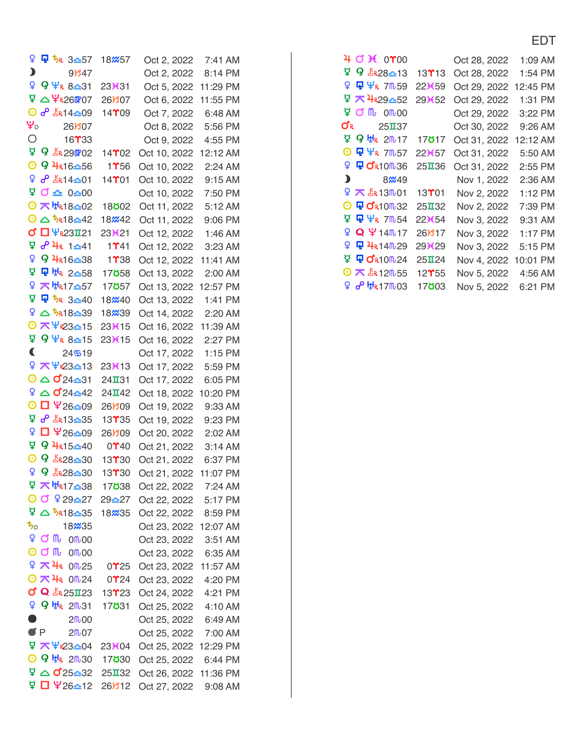| ¥                                          | Q 5R 3 <u>≏</u> 57                | 18 <b></b> %57                                                                                                                                                                                                                                                                                          | Oct 2, 2022           | $7:41$ AM |
|--------------------------------------------|-----------------------------------|---------------------------------------------------------------------------------------------------------------------------------------------------------------------------------------------------------------------------------------------------------------------------------------------------------|-----------------------|-----------|
| D                                          | $9$ $847$                         |                                                                                                                                                                                                                                                                                                         | Oct 2, 2022           | 8:14 PM   |
| ¥                                          | 9 ¥ <sub>ዪ 8≏31</sub>             | 23X31                                                                                                                                                                                                                                                                                                   | Oct 5, 2022 11:29 PM  |           |
| ₫                                          | △ ¥ <sub>R26</sub> 07             | 26)807                                                                                                                                                                                                                                                                                                  | Oct 6, 2022           | 11:55 PM  |
| 0                                          | o <sup>0</sup> ER14 <u>0</u> 09   | $14$ <sup><math>m</math></sup> 09                                                                                                                                                                                                                                                                       | Oct 7, 2022           | 6:48 AM   |
| ¥۵                                         | 26 <b>B</b> 07                    |                                                                                                                                                                                                                                                                                                         | Oct 8, 2022           | 5:56 PM   |
| Ο                                          | 16 <b>T33</b>                     |                                                                                                                                                                                                                                                                                                         | Oct 9, 2022           | 4:55 PM   |
| <b>D</b> 9 5 29 702                        |                                   | $14$ $02$                                                                                                                                                                                                                                                                                               | Oct 10, 2022          | 12:12 AM  |
| $\boldsymbol{\odot}$                       | 9 4R16-56                         | 11156                                                                                                                                                                                                                                                                                                   | Oct 10, 2022          | 2:24 AM   |
| ¥                                          | <u>ራ _&amp; \$</u> 4 <u>-0</u> 1  | $14$ T $01$                                                                                                                                                                                                                                                                                             | Oct 10, 2022          | 9:15 AM   |
| ₫                                          | $\sigma$ $\approx$ 0 $\approx$ 00 |                                                                                                                                                                                                                                                                                                         | Oct 10, 2022          | 7:50 PM   |
| <b>⊙ 不 ₩R18-02</b>                         |                                   | 18 <b>802</b>                                                                                                                                                                                                                                                                                           | Oct 11, 2022          | 5:12 AM   |
| $0 \triangle 5.18 - 42$                    |                                   | 18 <b>x</b> 42                                                                                                                                                                                                                                                                                          | Oct 11, 2022          | 9:06 PM   |
| <b>d'</b> □ ¥R23I21                        |                                   | 23X21                                                                                                                                                                                                                                                                                                   | Oct 12, 2022          | 1:46 AM   |
| ⊉ ∂ 4R 1 <u>≏</u> 41                       |                                   | 11141                                                                                                                                                                                                                                                                                                   | Oct 12, 2022          | 3:23 AM   |
| ¥                                          | 9 4R16-38                         | 1 <sup>2</sup> 38                                                                                                                                                                                                                                                                                       | Oct 12, 2022          | 11:41 AM  |
| ₫                                          | Q 방 2≏58                          | 17 <b>858</b>                                                                                                                                                                                                                                                                                           | Oct 13, 2022          | 2:00 AM   |
| Q                                          | <b>KHR17△57</b>                   | 17 <b>8</b> 57                                                                                                                                                                                                                                                                                          | Oct 13, 2022          | 12:57 PM  |
| ₫ Q 5R 3 <u>0</u> 40                       |                                   | 18 <b>%40</b>                                                                                                                                                                                                                                                                                           | Oct 13, 2022          | 1:41 PM   |
| º △ 5R18239                                |                                   | 18 <sub>x</sub> 39                                                                                                                                                                                                                                                                                      | Oct 14, 2022          | 2:20 AM   |
| <b>⊙ 不</b> 半k23△15                         |                                   | 23K15                                                                                                                                                                                                                                                                                                   | Oct 16, 2022          | 11:39 AM  |
| $9 \Psi_8 8 - 15$                          |                                   | 23X15                                                                                                                                                                                                                                                                                                   | Oct 16, 2022          | 2:27 PM   |
| C                                          | 24519                             |                                                                                                                                                                                                                                                                                                         | Oct 17, 2022          | 1:15 PM   |
| 9 天平R23-13                                 |                                   | 23X13                                                                                                                                                                                                                                                                                                   | Oct 17, 2022          | 5:59 PM   |
| $O \triangle$ o' 24 $\triangle$ 31         |                                   | 24131                                                                                                                                                                                                                                                                                                   | Oct 17, 2022          | 6:05 PM   |
| $9 \triangle 0^24 \triangle 42$            |                                   | $24$ <b>II</b> 42                                                                                                                                                                                                                                                                                       | Oct 18, 2022          | 10:20 PM  |
| $\boldsymbol{\odot}$                       | □ ¥26 <u>0</u> 9                  | 26Y09                                                                                                                                                                                                                                                                                                   | Oct 19, 2022          | 9:33 AM   |
| ቑ ∂ <sup>8</sup> £213-35                   |                                   | 13 <sup>2</sup> 35                                                                                                                                                                                                                                                                                      | Oct 19, 2022          | 9:23 PM   |
| ¥                                          | □ ¥26≏09                          | 26Y09                                                                                                                                                                                                                                                                                                   | Oct 20, 2022          | 2:02 AM   |
| ₫                                          | 9 4R15-40                         | 0 <sup>1</sup> 40                                                                                                                                                                                                                                                                                       | Oct 21, 2022          | 3:14 AM   |
| $\boldsymbol{\Theta}$                      | 9 5R28-30                         | 13 <sup>2</sup> 30                                                                                                                                                                                                                                                                                      | Oct 21, 2022          | 6:37 PM   |
| 9 9 5R28-30                                |                                   | 13T30                                                                                                                                                                                                                                                                                                   | Oct 21, 2022          | 11:07 PM  |
|                                            |                                   | 17 <b>838</b>                                                                                                                                                                                                                                                                                           | Oct 22, 2022          | 7:24 AM   |
|                                            |                                   | $\odot$ $\odot$ $\odot$ $\odot$ $\odot$ $\odot$ $\odot$ $\odot$ $\odot$ $\odot$ $\odot$ $\odot$ $\odot$ $\odot$ $\odot$ $\odot$ $\odot$ $\odot$ $\odot$ $\odot$ $\odot$ $\odot$ $\odot$ $\odot$ $\odot$ $\odot$ $\odot$ $\odot$ $\odot$ $\odot$ $\odot$ $\odot$ $\odot$ $\odot$ $\odot$ $\odot$ $\odot$ | Oct 22, 2022 5:17 PM  |           |
|                                            |                                   | $\frac{6}{4}$ $\Delta$ $\frac{1}{2}$ $\Omega$ $\frac{18}{3}$ $\Omega$ $\frac{35}{2}$ $\Omega$                                                                                                                                                                                                           | Oct 22, 2022 8:59 PM  |           |
| $\mathbf{t}_{\text{D}}$                    | 18 <b>x</b> 35                    |                                                                                                                                                                                                                                                                                                         | Oct 23, 2022 12:07 AM |           |
| $9$ O M $0$ M 00                           |                                   |                                                                                                                                                                                                                                                                                                         | Oct 23, 2022 3:51 AM  |           |
| $\odot$ of $mc$                            | 0 <sup>m</sup> 00                 |                                                                                                                                                                                                                                                                                                         | Oct 23, 2022 6:35 AM  |           |
| $9 \times 4$ <sub>R</sub> 0m <sup>25</sup> |                                   | $0^{\circ}25$                                                                                                                                                                                                                                                                                           | Oct 23, 2022 11:57 AM |           |
| $O \times 4$ <sub>R</sub> 0m <sup>24</sup> |                                   | $0$ <sup>24</sup>                                                                                                                                                                                                                                                                                       | Oct 23, 2022 4:20 PM  |           |
| $d$ Q $\&$ $k$ 25 $\text{II}$ 23           |                                   | 13 <b>Y</b> 23                                                                                                                                                                                                                                                                                          | Oct 24, 2022 4:21 PM  |           |
| $99H_R$ 2m <sup>31</sup>                   |                                   | 17 <b>ö</b> 31                                                                                                                                                                                                                                                                                          | Oct 25, 2022 4:10 AM  |           |
| $\bullet$                                  | 2 <sub>m</sub> 00                 |                                                                                                                                                                                                                                                                                                         | Oct 25, 2022 6:49 AM  |           |
| P                                          | 2m <sub>0</sub> 07                |                                                                                                                                                                                                                                                                                                         | Oct 25, 2022 7:00 AM  |           |
|                                            |                                   | $\frac{1}{2}$ $\times$ $\frac{4}{23}$ $\approx$ 04 23 $\times$ 04                                                                                                                                                                                                                                       | Oct 25, 2022 12:29 PM |           |
| <b>◎ 9 HR 2m30 17830</b>                   |                                   |                                                                                                                                                                                                                                                                                                         | Oct 25, 2022 6:44 PM  |           |
|                                            |                                   | $\sqrt{9}$ $\triangle$ $\sqrt{25}$ $\triangle$ 32 25 II 32                                                                                                                                                                                                                                              | Oct 26, 2022 11:36 PM |           |
|                                            |                                   | $4\sqrt{26}$ 26 - 12 26 312                                                                                                                                                                                                                                                                             | Oct 27, 2022          | 9:08 AM   |

| 4 0 K 0 Y 00                                       |                    | Oct 28, 2022 | 1:09 AM   |
|----------------------------------------------------|--------------------|--------------|-----------|
| ቑ 9 £ <sub>R28</sub> _13                           | 13 $\Upsilon$ 13   | Oct 28, 2022 | 1:54 PM   |
|                                                    | $22$ <b>K</b> 59   | Oct 29, 2022 | 12:45 PM  |
| ₫ K 4R29△52                                        | 29(52)             | Oct 29, 2022 | 1:31 PM   |
| $\frac{1}{2}$ of M <sub>b</sub> 0M <sub>b</sub> 00 |                    | Oct 29, 2022 | 3:22 PM   |
| ďκ<br>$25\text{II}37$                              |                    | Oct 30, 2022 | $9:26$ AM |
| ቑ 9 <del>⊎</del> ዪ 2ጤ17                            | 17 <b>ö</b> 17     | Oct 31, 2022 | 12:12 AM  |
| ⊙<br><b>中半</b> 7057                                | $22*(57)$          | Oct 31, 2022 | 5:50 AM   |
| 9 中 OR10M36                                        | $25$ II 36         | Oct 31, 2022 | 2:55 PM   |
| $8\%49$                                            |                    | Nov 1, 2022  | $2:36$ AM |
|                                                    |                    |              |           |
| 9 不 $$R13m01$                                      | 13 <sup>2</sup> 01 | Nov 2, 2022  | $1:12$ PM |
| <b>⊙ Q d</b> R10m32                                | $25$ II 32         | Nov 2, 2022  | 7:39 PM   |
| 할 및 ¥R 7M54                                        | 22(54)             | Nov 3, 2022  | $9:31$ AM |
| 9 Q ¥ 14m <sup>17</sup>                            | $26$ $817$         | Nov 3, 2022  | $1:17$ PM |
| 오 모 4k14m29                                        | 29)(29             | Nov 3, 2022  | 5:15 PM   |
| ¥ <mark>ዋ ሆ</mark> ል10ጤ24                          | 25124              | Nov 4, 2022  | 10:01 PM  |
| <b>⊙ 不 上</b> 12m55                                 | 12 $\Upsilon$ 55   | Nov 5, 2022  | $4:56$ AM |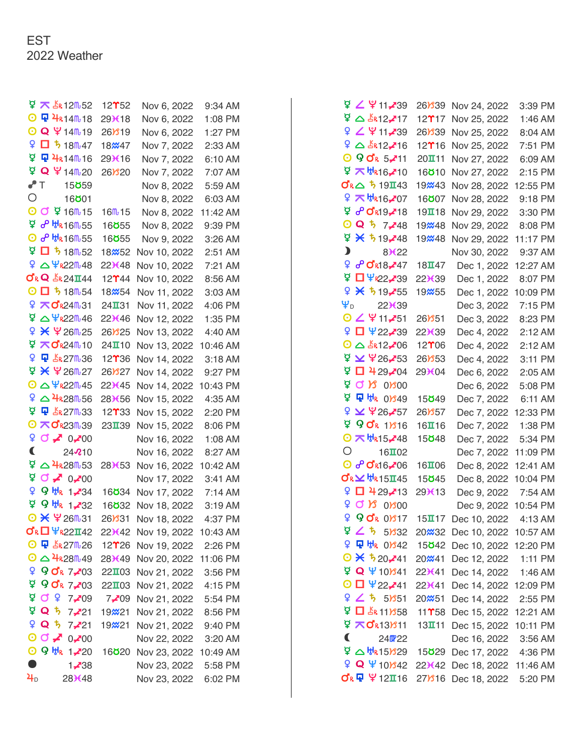| ¥ ₹ \$R12m52                                                         | $12$ <sup><math>\gamma</math>52</sup> | Nov 6, 2022           | $9:34$ AM |
|----------------------------------------------------------------------|---------------------------------------|-----------------------|-----------|
| <b>⊙ Q 4R14m18</b>                                                   | 29 <b>K</b> 18                        | Nov 6, 2022           | 1:08 PM   |
| O Q \14m-19                                                          | 26Y <sub>19</sub>                     | Nov 6, 2022           | 1:27 PM   |
| $9$ 0 5 18 6 47                                                      | 18 <b><i></i></b> 47                  | Nov 7, 2022           | 2:33 AM   |
| 모 무 4R14m16                                                          | 29 <b>K</b> 16                        | Nov 7, 2022           | 6:10 AM   |
| ቑ Q ¥ 14m20                                                          | 26Y <sub>20</sub>                     | Nov 7, 2022           | 7:07 AM   |
| ✔T<br>15 <b>ö</b> 59                                                 |                                       | Nov 8, 2022           | 5:59 AM   |
| О<br>16 <b>801</b>                                                   |                                       | Nov 8, 2022           | 6:03 AM   |
| O O 9 16m-15                                                         | $16m + 15$                            | Nov 8, 2022           | 11:42 AM  |
| <u>ዋ ራ ዙ</u> 16 - 55                                                 | 16 <b>ö</b> 55                        | Nov 8, 2022           | 9:39 PM   |
| O & HR16M55                                                          | 16 <b>855</b>                         | Nov 9, 2022           | 3:26 AM   |
| $9$ O $\frac{1}{2}$ 18m <sup>52</sup>                                | 18 <b>x</b> 52                        | Nov 10, 2022          | 2:51 AM   |
| $9$ $\triangle$ $4$ <sub>R22</sub> m <sub>48</sub>                   | 22)(48)                               | Nov 10, 2022          | 7:21 AM   |
| $\sigma$ <sub>R</sub> Q $\frac{1}{2}$ <sub>R</sub> 24 $\pi$ 44       | $12$ $^{\circ}$ $44$                  | Nov 10, 2022          | 8:56 AM   |
| $O$ $D$ $5$ 18 $m$ 54                                                | 18 <sub>x</sub> 54                    | Nov 11, 2022          | 3:03 AM   |
| 9 不OR24031                                                           | $24$ <b>II</b> 31                     | Nov 11, 2022          | 4:06 PM   |
| ቑ△Ψ <sub>R22</sub> M <sub>46</sub>                                   | 22 <sup>3</sup> 46                    | Nov 12, 2022          | 1:35 PM   |
| ዩ ¥ ¥ 26m <sub>25</sub>                                              | 26Y <sub>25</sub>                     | Nov 13, 2022          | 4:40 AM   |
| <sup>ロ</sup> 不024010                                                 | 24110                                 | Nov 13, 2022          | 10:46 AM  |
| <b>Q</b><br><b>中 上R27m36</b>                                         | $12$ <sup><math>*</math></sup> $36$   | Nov 14, 2022          | 3:18 AM   |
| ቑ ¥ ¥ 26m27                                                          | 26Y <sub>27</sub>                     | Nov 14, 2022          | 9:27 PM   |
| $O \triangle \Psi$ R22m 45                                           | 22 <sup>3</sup> 45                    | Nov 14, 2022          | 10:43 PM  |
| $9$ $\triangle$ $4$ <sub>R28</sub> m <sub>56</sub>                   | 28¥56                                 | Nov 15, 2022          | 4:35 AM   |
| ¥ Q 上k27m33                                                          | $12$ $^{\circ}$ $33$                  | Nov 15, 2022          | 2:20 PM   |
| <b>⊙ 不 ♂</b> 23M39                                                   | 23139                                 | Nov 15, 2022          | 8:06 PM   |
| $90 \times 0.200$                                                    |                                       | Nov 16, 2022          | 1:08 AM   |
| €<br>24210                                                           |                                       | Nov 16, 2022          | 8:27 AM   |
| ₫<br>$\triangle$ 4 <sub>R28</sub> $\text{m}$ <sub>53</sub>           | 28 <b>)</b> (53                       | Nov 16, 2022          | 10:42 AM  |
| $90 \times 0$ $\sqrt{00}$                                            |                                       | Nov 17, 2022          | 3:41 AM   |
| ¥.<br>9 HR 1,734                                                     | 16 <b>834</b>                         | Nov 17, 2022          | 7:14 AM   |
| ቑ <b>9 ₩</b> 1 <b>.</b> 732                                          | 16 <b>832</b>                         | Nov 18, 2022          | 3:19 AM   |
| <b>⊙ 米 半26m31</b>                                                    | 26 <b>B</b> 31                        | Nov 18, 2022          | 4:37 PM   |
| $\sigma_{\kappa}$ <sup>U</sup> 422142                                | 22 <b>)</b> (42                       | Nov 19, 2022 10:43 AM |           |
| $\odot$ $\mathbf{\Psi}$ $\mathbf{L}$ $\mathbf{R}$ 27 $\mathbf{R}$ 26 | $12$ <sup><math>2</math></sup> $26$   | Nov 19, 2022          | 2:26 PM   |
| $\odot$ $\triangle$ $4$ R28M-49                                      | 28 <b></b> <del>X</del> 49            | Nov 20, 2022 11:06 PM |           |
| 990k7203                                                             | $22\Pi$ 03                            | Nov 21, 2022          | 3:56 PM   |
| ੲ<br>9 OR 7-03                                                       | 221103                                | Nov 21, 2022          | 4:15 PM   |
| <b>A Q &amp;</b><br>$7 - 09$                                         | 7--709                                | Nov 21, 2022          | 5:54 PM   |
| ቑ Q ዄ 7 <b>,</b> 21                                                  | 19 <b>x</b> 21                        | Nov 21, 2022 8:56 PM  |           |
| $9$ Q $5$ 7,221                                                      | 19 <b>x</b> 21                        | Nov 21, 2022 9:40 PM  |           |
| $\odot$ $\sim$ $\ddot{\sim}$ $\odot$ $\sim$ $\odot$                  |                                       | Nov 22, 2022          | 3:20 AM   |
| O 9 ₩R 1,20                                                          | 16 <b>820</b>                         | Nov 23, 2022          | 10:49 AM  |
| $\bullet$<br>1, 38                                                   |                                       | Nov 23, 2022          | 5:58 PM   |
| $\mathbf{a}_{\text{D}}$<br>28 <b></b> X48                            |                                       | Nov 23, 2022          | 6:02 PM   |

|                                                                                | 26 <b>B</b> 39                      | Nov 24, 2022                | 3:39 PM  |
|--------------------------------------------------------------------------------|-------------------------------------|-----------------------------|----------|
| ቑ△ &๊R12 <b>.</b> 717                                                          | $12$ $17$                           | Nov 25, 2022                | 1:46 AM  |
|                                                                                | 26 <b>B</b> 39                      | Nov 25, 2022                | 8:04 AM  |
| $9 \triangle 12$ -16                                                           | $12$ <sup><math>2</math></sup> $16$ | Nov 25, 2022                | 7:51 PM  |
| $\odot$ 9 o'r 5, 11                                                            | 20111                               | Nov 27, 2022                | 6:09 AM  |
| <sup>보</sup> ᄌ <sup>바</sup> ᠺ16 <del>.</del> 10                                | 16 <b>810</b>                       | Nov 27, 2022                | 2:15 PM  |
| <b>びR△ 519Ⅱ43</b>                                                              | 19 <b>2</b> 43                      | Nov 28, 2022                | 12:55 PM |
| ¥ 7 ₩R16,707                                                                   | 16 <b>807</b>                       | Nov 28, 2022                | 9:18 PM  |
| ጀ <b>ራር</b> ≰19 <b>-</b> ∕18                                                   | $19$ $\overline{1}$ $18$            | Nov 29, 2022                | 3:30 PM  |
| <b>⊙ Q</b> ち 7,48                                                              | 19 <b>x</b> 48                      | Nov 29, 2022                | 8:08 PM  |
| $9 \times 519 - 48$                                                            | 19 <b>x</b> 48                      | Nov 29, 2022                | 11:17 PM |
| $\mathbf{\mathbf{y}}$<br>8 <sup>3</sup> 622                                    |                                     | Nov 30, 2022                | 9:37 AM  |
| ¥ <b>∂° 0'</b> ג18, 47                                                         | $18$ <b>II</b> 47                   | Dec 1, 2022                 | 12:27 AM |
| <b>ቑ □ Ψ<sub>®</sub>22,7</b> 39                                                | 22 <sup>3</sup> 39                  | Dec 1, 2022                 | 8:07 PM  |
| $9$ $\times$ 519.755                                                           | 19 <sub>2855</sub>                  | Dec 1, 2022                 | 10:09 PM |
| $\Psi_{\text{D}}$<br>22X39                                                     |                                     | Dec 3, 2022                 | 7:15 PM  |
| 0 2 4 11, 51                                                                   | 26 <b>B51</b>                       | Dec 3, 2022                 | 8:23 PM  |
| $9$ $\Box$ $422,739$                                                           | 22X39                               | Dec 4, 2022                 | 2:12 AM  |
| $\odot$ $\triangle$ $\&$ 12, $\sim$ 06                                         | $12$ <sup><math>*</math>06</sup>    | Dec 4, 2022                 | 2:12 AM  |
| ቑ ¥ ¥26 <b>.∕</b> 53                                                           | 26 <b>B</b> 53                      | Dec 4, 2022                 | 3:11 PM  |
| $9$ $\Box$ 429.704                                                             | 29X04                               | Dec 6, 2022                 | 2:05 AM  |
| $9000$ $800$                                                                   |                                     | Dec 6, 2022                 | 5:08 PM  |
| ☆ ☆ A A W 0 0 2 1 3                                                            | 15 <b>ö</b> 49                      | Dec 7, 2022                 | 6:11 AM  |
| ♀ ⊻ ♀26.757                                                                    | 26Y57                               | Dec 7, 2022                 | 12:33 PM |
| ጀ <b>ዓ ơ</b> ⊾ 1 <i>ነ</i> ያ16                                                  | $16$ <b>II</b> $16$                 | Dec 7, 2022                 | 1:38 PM  |
| $O$ $\pi$ $H_{R15}$ $48$                                                       | 15 <b>ö</b> 48                      | Dec 7, 2022                 | 5:34 PM  |
| О<br>$16 \text{II}$ 02                                                         |                                     | Dec 7, 2022                 | 11:09 PM |
| © o c dk16, 206                                                                | $16$ $\overline{a}$ 06              | Dec 8, 2022                 | 12:41 AM |
| $X_{R}$ $\mathbf{t}$ $\mathbf{t}$ $\mathbf{t}$ $\mathbf{t}$ 15 $\mathbf{I}$ 45 | 15 <b>ö</b> 45                      | Dec 8, 2022                 | 10:04 PM |
| $9$ 0 4 29.413                                                                 | 29X13                               | Dec 9, 2022                 | 7:54 AM  |
| $9000$ $800$                                                                   |                                     | Dec 9, 2022                 | 10:54 PM |
| 9 ዓ <b></b> ດ 0/317                                                            | 15117                               | Dec 10, 2022                | 4:13 AM  |
| ロムち<br>5)332                                                                   | 20 <del>%</del> 32                  | Dec 10, 2022 10:57 AM       |          |
| 9 모 방 0/342                                                                    | 15 <b>ö</b> 42                      | Dec 10, 2022 12:20 PM       |          |
| $\odot$ $\times$ 520, 41                                                       | 20 <sub>m41</sub>                   | Dec 12, 2022                | 1:11 PM  |
| $\Psi$ Q $\Psi$ 10/341                                                         | 22)(41                              | Dec 14, 2022 1:46 AM        |          |
| $\odot$ $\Box$ ¥22,741                                                         | 22)(41                              | Dec 14, 2022 12:09 PM       |          |
| 92551                                                                          | 20 <sub>x</sub> 51                  | Dec 14, 2022                | 2:55 PM  |
| $\Psi$ $\Box$ $\Delta$ R 111858                                                | $11$ T <sub>58</sub>                | Dec 15, 2022                | 12:21 AM |
| ¥ 不 ぴ R13) 311                                                                 | 13111                               | Dec 15, 2022                | 10:11 PM |
| C<br>24022                                                                     |                                     | Dec 16, 2022                | 3:56 AM  |
| $\nabla$ ሁኔ15እ29                                                               | 15 <b>ö</b> 29                      | Dec 17, 2022 4:36 PM        |          |
| 9 Q 4101342                                                                    |                                     | 22X42 Dec 18, 2022 11:46 AM |          |
| <b>σε Φ Ψ 12π16</b>                                                            | 27)816                              | Dec 18, 2022                | 5:20 PM  |